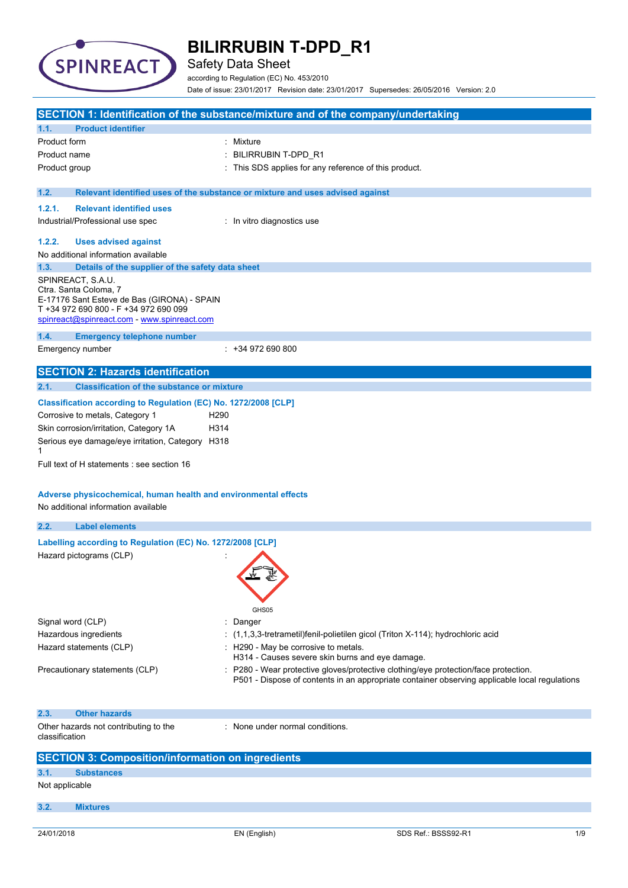

Safety Data Sheet

according to Regulation (EC) No. 453/2010 Date of issue: 23/01/2017 Revision date: 23/01/2017 Supersedes: 26/05/2016 Version: 2.0

|                                                                                      | SECTION 1: Identification of the substance/mixture and of the company/undertaking                                                                                                  |  |
|--------------------------------------------------------------------------------------|------------------------------------------------------------------------------------------------------------------------------------------------------------------------------------|--|
| <b>Product identifier</b><br>1.1.                                                    |                                                                                                                                                                                    |  |
| Product form                                                                         | : Mixture                                                                                                                                                                          |  |
| Product name                                                                         | BILIRRUBIN T-DPD_R1                                                                                                                                                                |  |
| Product group                                                                        | This SDS applies for any reference of this product.                                                                                                                                |  |
|                                                                                      |                                                                                                                                                                                    |  |
| 1.2.                                                                                 | Relevant identified uses of the substance or mixture and uses advised against                                                                                                      |  |
| <b>Relevant identified uses</b><br>1.2.1.                                            |                                                                                                                                                                                    |  |
| Industrial/Professional use spec                                                     | : In vitro diagnostics use                                                                                                                                                         |  |
| 1.2.2.<br><b>Uses advised against</b>                                                |                                                                                                                                                                                    |  |
| No additional information available                                                  |                                                                                                                                                                                    |  |
| 1.3.<br>Details of the supplier of the safety data sheet                             |                                                                                                                                                                                    |  |
| SPINREACT, S.A.U.                                                                    |                                                                                                                                                                                    |  |
| Ctra. Santa Coloma, 7                                                                |                                                                                                                                                                                    |  |
| E-17176 Sant Esteve de Bas (GIRONA) - SPAIN<br>T +34 972 690 800 - F +34 972 690 099 |                                                                                                                                                                                    |  |
| spinreact@spinreact.com - www.spinreact.com                                          |                                                                                                                                                                                    |  |
| 1.4.<br><b>Emergency telephone number</b>                                            |                                                                                                                                                                                    |  |
| Emergency number                                                                     | $: +34972690800$                                                                                                                                                                   |  |
|                                                                                      |                                                                                                                                                                                    |  |
| <b>SECTION 2: Hazards identification</b>                                             |                                                                                                                                                                                    |  |
| 2.1.<br><b>Classification of the substance or mixture</b>                            |                                                                                                                                                                                    |  |
| Classification according to Regulation (EC) No. 1272/2008 [CLP]                      |                                                                                                                                                                                    |  |
| Corrosive to metals, Category 1                                                      | H <sub>290</sub>                                                                                                                                                                   |  |
| Skin corrosion/irritation, Category 1A                                               | H314                                                                                                                                                                               |  |
| Serious eye damage/eye irritation, Category H318                                     |                                                                                                                                                                                    |  |
| 1                                                                                    |                                                                                                                                                                                    |  |
| Full text of H statements : see section 16                                           |                                                                                                                                                                                    |  |
|                                                                                      |                                                                                                                                                                                    |  |
|                                                                                      |                                                                                                                                                                                    |  |
|                                                                                      |                                                                                                                                                                                    |  |
| Adverse physicochemical, human health and environmental effects                      |                                                                                                                                                                                    |  |
| No additional information available                                                  |                                                                                                                                                                                    |  |
| 2.2.<br><b>Label elements</b>                                                        |                                                                                                                                                                                    |  |
|                                                                                      |                                                                                                                                                                                    |  |
| Labelling according to Regulation (EC) No. 1272/2008 [CLP]                           |                                                                                                                                                                                    |  |
| Hazard pictograms (CLP)                                                              |                                                                                                                                                                                    |  |
|                                                                                      |                                                                                                                                                                                    |  |
|                                                                                      |                                                                                                                                                                                    |  |
|                                                                                      |                                                                                                                                                                                    |  |
|                                                                                      | GHS05                                                                                                                                                                              |  |
| Signal word (CLP)                                                                    | : Danger                                                                                                                                                                           |  |
| Hazardous ingredients                                                                | $(1,1,3,3)$ -tretrametil) fenil-polietilen gicol (Triton X-114); hydrochloric acid                                                                                                 |  |
| Hazard statements (CLP)                                                              | : H290 - May be corrosive to metals.                                                                                                                                               |  |
|                                                                                      | H314 - Causes severe skin burns and eye damage.                                                                                                                                    |  |
| Precautionary statements (CLP)                                                       | P280 - Wear protective gloves/protective clothing/eye protection/face protection.<br>P501 - Dispose of contents in an appropriate container observing applicable local regulations |  |
|                                                                                      |                                                                                                                                                                                    |  |
|                                                                                      |                                                                                                                                                                                    |  |
| 2.3.<br><b>Other hazards</b>                                                         |                                                                                                                                                                                    |  |
| Other hazards not contributing to the                                                | : None under normal conditions.                                                                                                                                                    |  |
| classification                                                                       |                                                                                                                                                                                    |  |
|                                                                                      |                                                                                                                                                                                    |  |
| <b>SECTION 3: Composition/information on ingredients</b>                             |                                                                                                                                                                                    |  |
| 3.1.<br><b>Substances</b>                                                            |                                                                                                                                                                                    |  |
| Not applicable                                                                       |                                                                                                                                                                                    |  |
| 3.2.<br><b>Mixtures</b>                                                              |                                                                                                                                                                                    |  |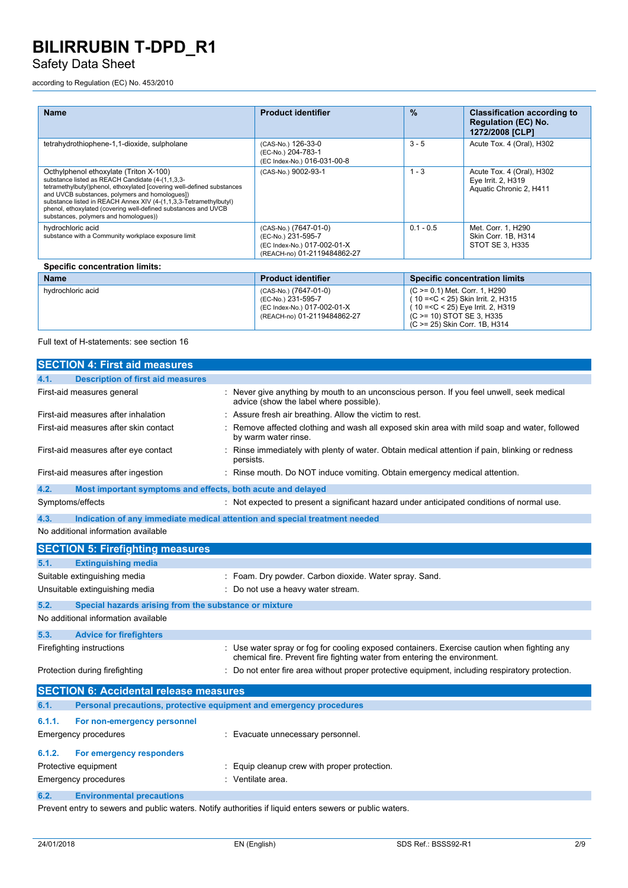## Safety Data Sheet

according to Regulation (EC) No. 453/2010

| <b>Name</b>                                                                                                                                                                                                                                                                                                                                                                                            | <b>Product identifier</b>                                                                                 | $\frac{9}{6}$ | <b>Classification according to</b><br><b>Regulation (EC) No.</b><br>1272/2008 [CLP] |  |
|--------------------------------------------------------------------------------------------------------------------------------------------------------------------------------------------------------------------------------------------------------------------------------------------------------------------------------------------------------------------------------------------------------|-----------------------------------------------------------------------------------------------------------|---------------|-------------------------------------------------------------------------------------|--|
| tetrahydrothiophene-1,1-dioxide, sulpholane                                                                                                                                                                                                                                                                                                                                                            | (CAS-No.) 126-33-0<br>(EC-No.) 204-783-1<br>(EC Index-No.) 016-031-00-8                                   | $3 - 5$       | Acute Tox. 4 (Oral), H302                                                           |  |
| Octhylphenol ethoxylate (Triton X-100)<br>substance listed as REACH Candidate (4-(1,1,3,3-<br>tetramethylbutyl)phenol, ethoxylated [covering well-defined substances<br>and UVCB substances, polymers and homologues])<br>substance listed in REACH Annex XIV (4-(1,1,3,3-Tetramethylbutyl)<br>phenol, ethoxylated (covering well-defined substances and UVCB<br>substances, polymers and homologues)) | (CAS-No.) 9002-93-1                                                                                       | $1 - 3$       | Acute Tox. 4 (Oral), H302<br>Eye Irrit. 2, H319<br>Aquatic Chronic 2, H411          |  |
| hydrochloric acid<br>substance with a Community workplace exposure limit                                                                                                                                                                                                                                                                                                                               | (CAS-No.) (7647-01-0)<br>(EC-No.) 231-595-7<br>(EC Index-No.) 017-002-01-X<br>(REACH-no) 01-2119484862-27 | $0.1 - 0.5$   | Met. Corr. 1, H290<br>Skin Corr. 1B. H314<br>STOT SE 3, H335                        |  |
| <b>Specific concentration limits:</b>                                                                                                                                                                                                                                                                                                                                                                  |                                                                                                           |               |                                                                                     |  |
| <b>Name</b>                                                                                                                                                                                                                                                                                                                                                                                            | <b>Product identifier</b>                                                                                 |               | <b>Specific concentration limits</b>                                                |  |
| hydrochloric acid                                                                                                                                                                                                                                                                                                                                                                                      | (CAS-No.) (7647-01-0)<br>(EC-No.) 231-595-7                                                               |               | (C >= 0.1) Met. Corr. 1, H290<br>10 = < C < 25) Skin Irrit. 2, H315                 |  |

(EC Index-No.) 017-002-01-X (REACH-no) 01-2119484862-27

Full text of H-statements: see section 16

|        | <b>SECTION 4: First aid measures</b>                                |                                                                                                                                                                        |
|--------|---------------------------------------------------------------------|------------------------------------------------------------------------------------------------------------------------------------------------------------------------|
| 4.1.   | <b>Description of first aid measures</b>                            |                                                                                                                                                                        |
|        | First-aid measures general                                          | Never give anything by mouth to an unconscious person. If you feel unwell, seek medical<br>advice (show the label where possible).                                     |
|        | First-aid measures after inhalation                                 | Assure fresh air breathing. Allow the victim to rest.                                                                                                                  |
|        | First-aid measures after skin contact                               | Remove affected clothing and wash all exposed skin area with mild soap and water, followed<br>by warm water rinse.                                                     |
|        | First-aid measures after eye contact                                | Rinse immediately with plenty of water. Obtain medical attention if pain, blinking or redness<br>persists.                                                             |
|        | First-aid measures after ingestion                                  | : Rinse mouth. Do NOT induce vomiting. Obtain emergency medical attention.                                                                                             |
| 4.2.   | Most important symptoms and effects, both acute and delayed         |                                                                                                                                                                        |
|        | Symptoms/effects                                                    | : Not expected to present a significant hazard under anticipated conditions of normal use.                                                                             |
| 4.3.   |                                                                     | Indication of any immediate medical attention and special treatment needed                                                                                             |
|        | No additional information available                                 |                                                                                                                                                                        |
|        | <b>SECTION 5: Firefighting measures</b>                             |                                                                                                                                                                        |
| 5.1.   | <b>Extinguishing media</b>                                          |                                                                                                                                                                        |
|        | Suitable extinguishing media                                        | : Foam. Dry powder. Carbon dioxide. Water spray. Sand.                                                                                                                 |
|        | Unsuitable extinguishing media                                      | Do not use a heavy water stream.                                                                                                                                       |
| 5.2.   | Special hazards arising from the substance or mixture               |                                                                                                                                                                        |
|        | No additional information available                                 |                                                                                                                                                                        |
| 5.3.   | <b>Advice for firefighters</b>                                      |                                                                                                                                                                        |
|        | Firefighting instructions                                           | Use water spray or fog for cooling exposed containers. Exercise caution when fighting any<br>chemical fire. Prevent fire fighting water from entering the environment. |
|        | Protection during firefighting                                      | : Do not enter fire area without proper protective equipment, including respiratory protection.                                                                        |
|        | <b>SECTION 6: Accidental release measures</b>                       |                                                                                                                                                                        |
| 6.1.   | Personal precautions, protective equipment and emergency procedures |                                                                                                                                                                        |
| 6.1.1. | For non-emergency personnel                                         |                                                                                                                                                                        |
|        | <b>Emergency procedures</b>                                         | Evacuate unnecessary personnel.                                                                                                                                        |
| 6.1.2. | For emergency responders                                            |                                                                                                                                                                        |
|        | Protective equipment                                                | Equip cleanup crew with proper protection.                                                                                                                             |
|        | <b>Emergency procedures</b>                                         | Ventilate area.                                                                                                                                                        |
| 6.2.   | <b>Environmental precautions</b>                                    |                                                                                                                                                                        |

Prevent entry to sewers and public waters. Notify authorities if liquid enters sewers or public waters.

( 10 =<C < 25) Eye Irrit. 2, H319 (C >= 10) STOT SE 3, H335 (C >= 25) Skin Corr. 1B, H314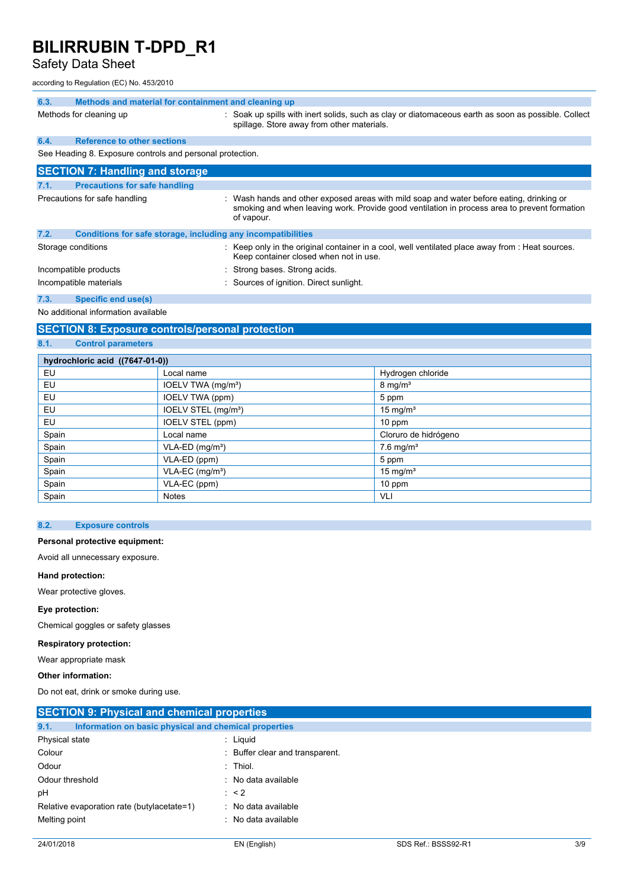## Safety Data Sheet

according to Regulation (EC) No. 453/2010

| 6.3. | Methods and material for containment and cleaning up         |                                                                                                                                                                                                        |
|------|--------------------------------------------------------------|--------------------------------------------------------------------------------------------------------------------------------------------------------------------------------------------------------|
|      | Methods for cleaning up                                      | : Soak up spills with inert solids, such as clay or diatomaceous earth as soon as possible. Collect<br>spillage. Store away from other materials.                                                      |
| 6.4. | <b>Reference to other sections</b>                           |                                                                                                                                                                                                        |
|      | See Heading 8. Exposure controls and personal protection.    |                                                                                                                                                                                                        |
|      | <b>SECTION 7: Handling and storage</b>                       |                                                                                                                                                                                                        |
| 7.1. | <b>Precautions for safe handling</b>                         |                                                                                                                                                                                                        |
|      | Precautions for safe handling                                | : Wash hands and other exposed areas with mild soap and water before eating, drinking or<br>smoking and when leaving work. Provide good ventilation in process area to prevent formation<br>of vapour. |
| 7.2. | Conditions for safe storage, including any incompatibilities |                                                                                                                                                                                                        |
|      | Storage conditions                                           | : Keep only in the original container in a cool, well ventilated place away from : Heat sources.<br>Keep container closed when not in use.                                                             |
|      | Incompatible products                                        | : Strong bases. Strong acids.                                                                                                                                                                          |
|      | Incompatible materials                                       | : Sources of ignition. Direct sunlight.                                                                                                                                                                |

## **7.3. Specific end use(s)**

No additional information available

## **SECTION 8: Exposure controls/personal protection**

## **8.1. Control parameters**

| hydrochloric acid ((7647-01-0)) |                                 |                         |  |  |
|---------------------------------|---------------------------------|-------------------------|--|--|
| EU                              | Local name                      | Hydrogen chloride       |  |  |
| EU                              | IOELV TWA (mg/m <sup>3</sup> )  | $8 \text{ mg/m}^3$      |  |  |
| EU                              | IOELV TWA (ppm)                 | 5 ppm                   |  |  |
| EU                              | IOELV STEL (mg/m <sup>3</sup> ) | 15 mg/ $m3$             |  |  |
| EU                              | IOELV STEL (ppm)                | $10$ ppm                |  |  |
| Spain                           | Local name                      | Cloruro de hidrógeno    |  |  |
| Spain                           | $VLA-ED$ (mg/m <sup>3</sup> )   | $7.6$ mg/m <sup>3</sup> |  |  |
| Spain                           | VLA-ED (ppm)                    | 5 ppm                   |  |  |
| Spain                           | VLA-EC (mg/m <sup>3</sup> )     | 15 mg/ $m3$             |  |  |
| Spain                           | VLA-EC (ppm)                    | 10 ppm                  |  |  |
| Spain                           | <b>Notes</b>                    | VLI                     |  |  |

### **8.2. Exposure controls**

### **Personal protective equipment:**

Avoid all unnecessary exposure.

### **Hand protection:**

Wear protective gloves.

### **Eye protection:**

Chemical goggles or safety glasses

### **Respiratory protection:**

Wear appropriate mask

### **Other information:**

Do not eat, drink or smoke during use.

| <b>SECTION 9: Physical and chemical properties</b>            |                                 |
|---------------------------------------------------------------|---------------------------------|
| 9.1.<br>Information on basic physical and chemical properties |                                 |
| Physical state                                                | : Liguid                        |
| Colour                                                        | : Buffer clear and transparent. |
| Odour                                                         | $:$ Thiol.                      |
| Odour threshold                                               | : No data available             |
| рH                                                            | $\therefore$ < 2                |
| Relative evaporation rate (butylacetate=1)                    | : No data available             |
| Melting point                                                 | : No data available             |
|                                                               |                                 |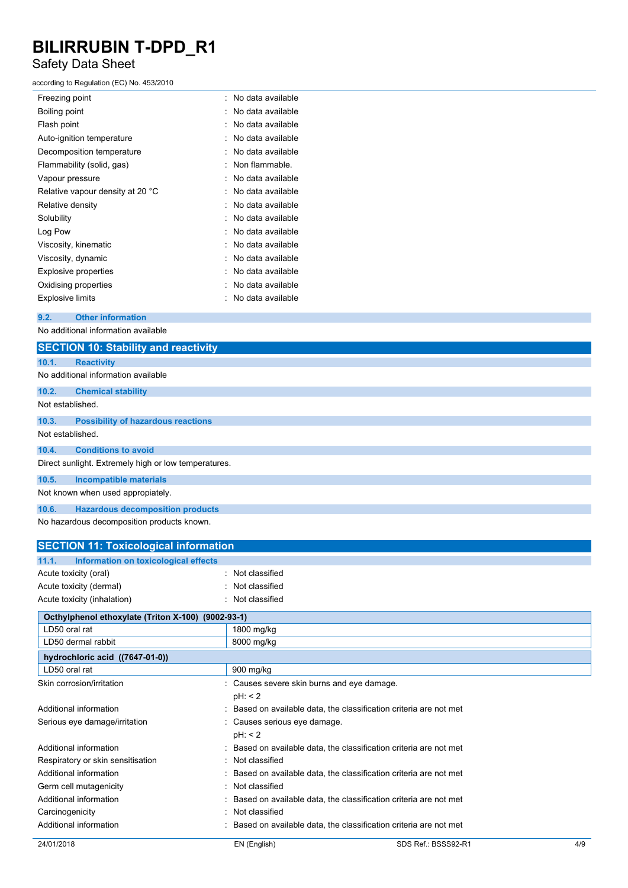## Safety Data Sheet

### according to Regulation (EC) No. 453/2010

| Freezing point                   | No data available |
|----------------------------------|-------------------|
| Boiling point                    | No data available |
| Flash point                      | No data available |
| Auto-ignition temperature        | No data available |
| Decomposition temperature        | No data available |
| Flammability (solid, gas)        | Non flammable.    |
| Vapour pressure                  | No data available |
| Relative vapour density at 20 °C | No data available |
| Relative density                 | No data available |
| Solubility                       | No data available |
| Log Pow                          | No data available |
| Viscosity, kinematic             | No data available |
| Viscosity, dynamic               | No data available |
| <b>Explosive properties</b>      | No data available |
| Oxidising properties             | No data available |
| <b>Explosive limits</b>          | No data available |
|                                  |                   |

### **9.2. Other information**

No additional information available

|                  | <b>SECTION 10: Stability and reactivity</b>          |
|------------------|------------------------------------------------------|
| 10.1.            | <b>Reactivity</b>                                    |
|                  | No additional information available                  |
| 10.2.            | <b>Chemical stability</b>                            |
| Not established. |                                                      |
| 10.3.            | <b>Possibility of hazardous reactions</b>            |
| Not established. |                                                      |
| 10.4.            | <b>Conditions to avoid</b>                           |
|                  | Direct sunlight. Extremely high or low temperatures. |
| 10.5.            | <b>Incompatible materials</b>                        |
|                  | Not known when used appropiately.                    |
| 10.6.            | <b>Hazardous decomposition products</b>              |

No hazardous decomposition products known.

| <b>SECTION 11: Toxicological information</b>       |  |                                            |                                                                  |     |
|----------------------------------------------------|--|--------------------------------------------|------------------------------------------------------------------|-----|
| 11.1.<br>Information on toxicological effects      |  |                                            |                                                                  |     |
| Acute toxicity (oral)                              |  | : Not classified                           |                                                                  |     |
| Acute toxicity (dermal)                            |  | : Not classified                           |                                                                  |     |
| Acute toxicity (inhalation)                        |  | : Not classified                           |                                                                  |     |
| Octhylphenol ethoxylate (Triton X-100) (9002-93-1) |  |                                            |                                                                  |     |
| LD50 oral rat                                      |  | 1800 mg/kg                                 |                                                                  |     |
| LD50 dermal rabbit                                 |  | 8000 mg/kg                                 |                                                                  |     |
| hydrochloric acid ((7647-01-0))                    |  |                                            |                                                                  |     |
| LD50 oral rat                                      |  | 900 mg/kg                                  |                                                                  |     |
| Skin corrosion/irritation                          |  | : Causes severe skin burns and eye damage. |                                                                  |     |
|                                                    |  | pH: 2                                      |                                                                  |     |
| Additional information                             |  |                                            | Based on available data, the classification criteria are not met |     |
| Serious eye damage/irritation                      |  | : Causes serious eye damage.               |                                                                  |     |
|                                                    |  | pH: 2                                      |                                                                  |     |
| Additional information                             |  |                                            | Based on available data, the classification criteria are not met |     |
| Respiratory or skin sensitisation                  |  | : Not classified                           |                                                                  |     |
| Additional information                             |  |                                            | Based on available data, the classification criteria are not met |     |
| Germ cell mutagenicity                             |  | Not classified                             |                                                                  |     |
| Additional information                             |  |                                            | Based on available data, the classification criteria are not met |     |
| Carcinogenicity                                    |  | : Not classified                           |                                                                  |     |
| Additional information                             |  |                                            | Based on available data, the classification criteria are not met |     |
| 24/01/2018                                         |  | EN (English)                               | SDS Ref.: BSSS92-R1                                              | 4/9 |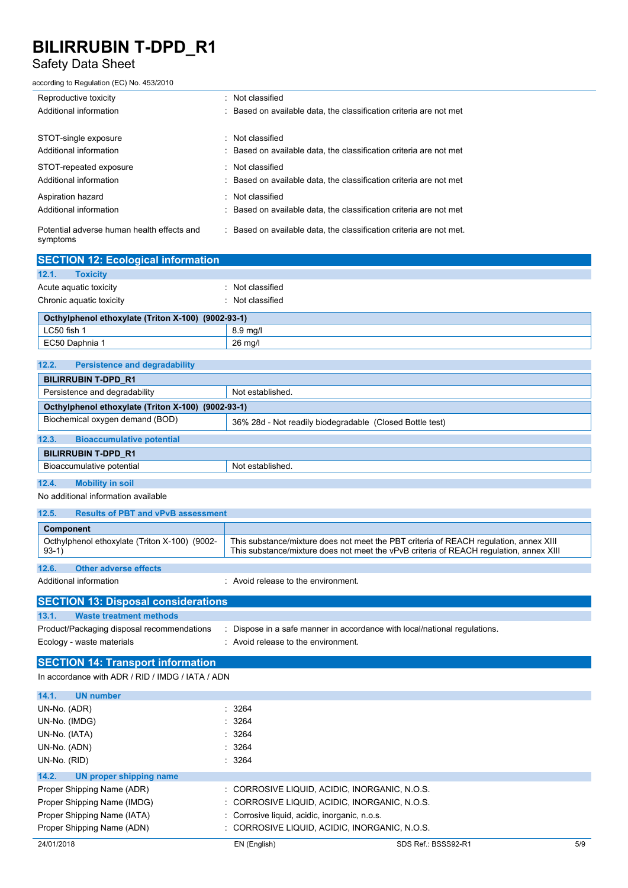## Safety Data Sheet

according to Regulation (EC) No. 453/2010

| Reproductive toxicity                                  | : Not classified                                                    |
|--------------------------------------------------------|---------------------------------------------------------------------|
| Additional information                                 | : Based on available data, the classification criteria are not met  |
|                                                        |                                                                     |
| STOT-single exposure                                   | : Not classified                                                    |
| Additional information                                 | : Based on available data, the classification criteria are not met  |
| STOT-repeated exposure                                 | : Not classified                                                    |
| Additional information                                 | : Based on available data, the classification criteria are not met  |
| Aspiration hazard                                      | : Not classified                                                    |
| Additional information                                 | : Based on available data, the classification criteria are not met  |
| Potential adverse human health effects and<br>symptoms | : Based on available data, the classification criteria are not met. |

| <b>SECTION 12: Ecological information</b>          |                |  |  |
|----------------------------------------------------|----------------|--|--|
| 12.1.<br><b>Toxicity</b>                           |                |  |  |
| Acute aguatic toxicity                             | Not classified |  |  |
| Chronic aquatic toxicity                           | Not classified |  |  |
| Octhylphenol ethoxylate (Triton X-100) (9002-93-1) |                |  |  |
| LC50 fish 1                                        | $8.9$ mg/l     |  |  |
| EC50 Daphnia 1                                     | 26 mg/l        |  |  |

| 12.2.<br><b>Persistence and degradability</b>      |                                                          |
|----------------------------------------------------|----------------------------------------------------------|
| <b>BILIRRUBIN T-DPD R1</b>                         |                                                          |
| Persistence and degradability                      | Not established.                                         |
| Octhylphenol ethoxylate (Triton X-100) (9002-93-1) |                                                          |
| Biochemical oxygen demand (BOD)                    | 36% 28d - Not readily biodegradable (Closed Bottle test) |
| 12.3.<br><b>Bioaccumulative potential</b>          |                                                          |
| <b>BILIRRUBIN T-DPD R1</b>                         |                                                          |
| Bioaccumulative potential                          | Not established.                                         |
| 12.4.<br><b>Mobility in soil</b>                   |                                                          |

No additional information available

| 12.5.                                                    | <b>Results of PBT and vPvB assessment</b> |                                                                                                                                                                                 |  |
|----------------------------------------------------------|-------------------------------------------|---------------------------------------------------------------------------------------------------------------------------------------------------------------------------------|--|
| <b>Component</b>                                         |                                           |                                                                                                                                                                                 |  |
| Octhylphenol ethoxylate (Triton X-100) (9002-<br>$93-1)$ |                                           | This substance/mixture does not meet the PBT criteria of REACH regulation, annex XIII<br>This substance/mixture does not meet the vPvB criteria of REACH requlation, annex XIII |  |
| 12.6.                                                    | Other adverse effects                     |                                                                                                                                                                                 |  |
| Additional information                                   |                                           | Avoid release to the environment                                                                                                                                                |  |

| <b>SECTION 13: Disposal considerations</b> |                                                                         |
|--------------------------------------------|-------------------------------------------------------------------------|
| 13.1.<br>Waste treatment methods           |                                                                         |
| Product/Packaging disposal recommendations | Dispose in a safe manner in accordance with local/national regulations. |
| Ecology - waste materials                  | Avoid release to the environment.                                       |

### **SECTION 14: Transport information**

In accordance with ADR / RID / IMDG / IATA / ADN

| 14.1.<br><b>UN number</b>        |                                               |                                               |     |
|----------------------------------|-----------------------------------------------|-----------------------------------------------|-----|
| UN-No. (ADR)                     | : 3264                                        |                                               |     |
| UN-No. (IMDG)                    | : 3264                                        |                                               |     |
| UN-No. (IATA)                    | : 3264                                        |                                               |     |
| UN-No. (ADN)                     | : 3264                                        |                                               |     |
| UN-No. (RID)                     | $\therefore$ 3264                             |                                               |     |
| 14.2.<br>UN proper shipping name |                                               |                                               |     |
| Proper Shipping Name (ADR)       |                                               | : CORROSIVE LIQUID, ACIDIC, INORGANIC, N.O.S. |     |
| Proper Shipping Name (IMDG)      |                                               | : CORROSIVE LIQUID. ACIDIC. INORGANIC. N.O.S. |     |
| Proper Shipping Name (IATA)      | : Corrosive liquid, acidic, inorganic, n.o.s. |                                               |     |
| Proper Shipping Name (ADN)       |                                               | : CORROSIVE LIQUID. ACIDIC. INORGANIC. N.O.S. |     |
| 24/01/2018                       | EN (English)                                  | SDS Ref.: BSSS92-R1                           | 5/9 |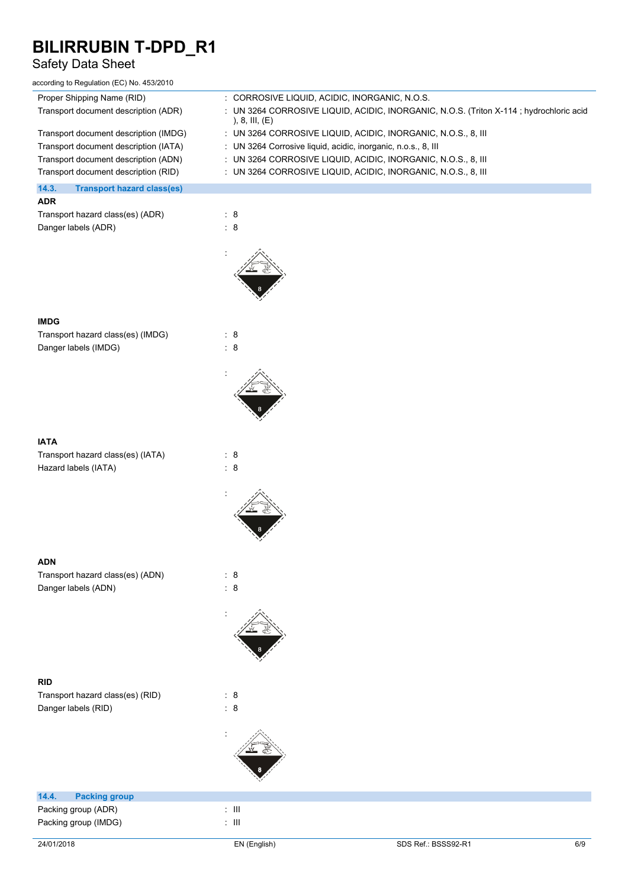## Safety Data Sheet

according to Regulation (EC) No. 453/2010

| Proper Shipping Name (RID)                 | : CORROSIVE LIQUID, ACIDIC, INORGANIC, N.O.S.                                                               |
|--------------------------------------------|-------------------------------------------------------------------------------------------------------------|
| Transport document description (ADR)       | : UN 3264 CORROSIVE LIQUID, ACIDIC, INORGANIC, N.O.S. (Triton X-114 ; hydrochloric acid<br>), 8, III, $(E)$ |
| Transport document description (IMDG)      | $\pm$ UN 3264 CORROSIVE LIQUID, ACIDIC, INORGANIC, N.O.S., 8, III                                           |
| Transport document description (IATA)      | : UN 3264 Corrosive liquid, acidic, inorganic, n.o.s., 8, III                                               |
| Transport document description (ADN)       | $\pm$ UN 3264 CORROSIVE LIQUID, ACIDIC, INORGANIC, N.O.S., 8, III                                           |
| Transport document description (RID)       | $\pm$ UN 3264 CORROSIVE LIQUID, ACIDIC, INORGANIC, N.O.S., 8, III                                           |
| 14.3.<br><b>Transport hazard class(es)</b> |                                                                                                             |
| <b>ADR</b>                                 |                                                                                                             |
| Transport hazard class(es) (ADR)           | $\therefore$ 8                                                                                              |
| Danger labels (ADR)                        | : 8                                                                                                         |
|                                            |                                                                                                             |
|                                            |                                                                                                             |

:

:

:

:

#### **IMDG**

Transport hazard class(es) (IMDG) : 8 Danger labels (IMDG)  $\qquad \qquad : 8$ 

#### **IATA**

Transport hazard class(es) (IATA) : 8 Hazard labels (IATA) : 8

### **ADN**

Transport hazard class(es) (ADN) : 8<br>Danger labels (ADN) : 8 Danger labels (ADN)

### **RID**

Transport hazard class(es) (RID) : 8 Danger labels (RID) : 8

## **14.4. Packing group**

Packing group (ADR) : III Packing group (IMDG) in the set of the set of the set of the set of the set of the set of the set of the set o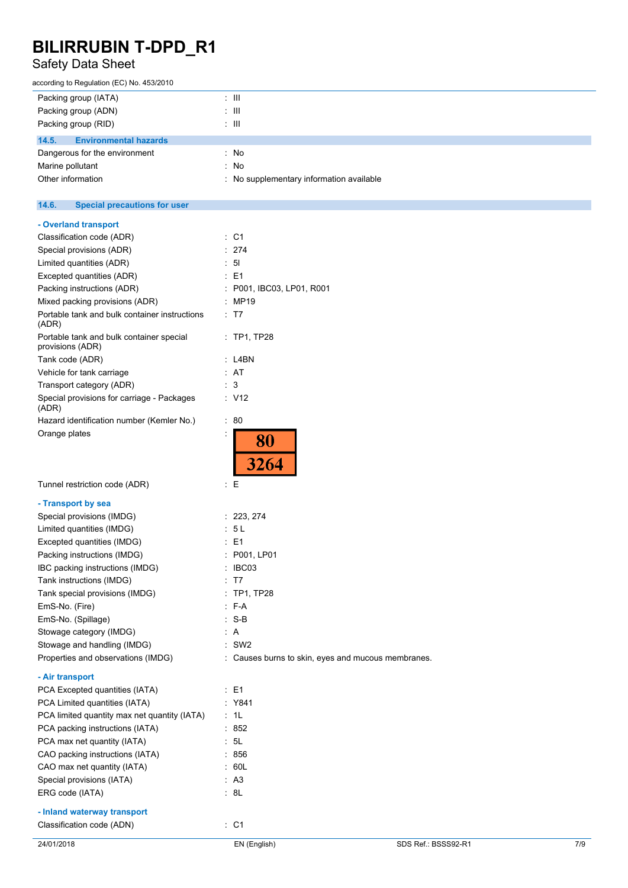# Safety Data Sheet

| according to Regulation (EC) No. 453/2010 |                                          |
|-------------------------------------------|------------------------------------------|
| Packing group (IATA)                      | : III                                    |
| Packing group (ADN)                       | : III                                    |
| Packing group (RID)                       | : III                                    |
| 14.5.<br><b>Environmental hazards</b>     |                                          |
| Dangerous for the environment             | : No                                     |
| Marine pollutant                          | : No                                     |
| Other information                         | : No supplementary information available |

#### $14.6.$ **14.6. Special precautions for user**

|  |  |  | - Overland transport |  |
|--|--|--|----------------------|--|
|--|--|--|----------------------|--|

| 24/01/2018                                                   | EN (English)                                       | SDS Ref.: BSSS92-R1 | 7/9 |
|--------------------------------------------------------------|----------------------------------------------------|---------------------|-----|
| Classification code (ADN)                                    | $\therefore$ C1                                    |                     |     |
| - Inland waterway transport                                  |                                                    |                     |     |
| ERG code (IATA)                                              | : 8L                                               |                     |     |
| Special provisions (IATA)                                    | : A3                                               |                     |     |
| CAO max net quantity (IATA)                                  | : 60L                                              |                     |     |
| CAO packing instructions (IATA)                              | $\therefore$ 856                                   |                     |     |
| PCA max net quantity (IATA)                                  | : 5L                                               |                     |     |
| PCA packing instructions (IATA)                              | : 852                                              |                     |     |
| PCA limited quantity max net quantity (IATA)                 | : 1L                                               |                     |     |
| PCA Limited quantities (IATA)                                | : Y841                                             |                     |     |
| PCA Excepted quantities (IATA)                               | $\therefore$ E1                                    |                     |     |
| - Air transport                                              |                                                    |                     |     |
| Properties and observations (IMDG)                           | : Causes burns to skin, eyes and mucous membranes. |                     |     |
| Stowage and handling (IMDG)                                  | $\therefore$ SW2                                   |                     |     |
| Stowage category (IMDG)                                      |                                                    |                     |     |
| EmS-No. (Spillage)                                           | : A                                                |                     |     |
| EmS-No. (Fire)                                               | : F-A<br>$: S-B$                                   |                     |     |
| Tank special provisions (IMDG)                               | : TP1, TP28                                        |                     |     |
| Tank instructions (IMDG)                                     | : T7                                               |                     |     |
| IBC packing instructions (IMDG)                              | : IBCO3                                            |                     |     |
| Packing instructions (IMDG)                                  | : P001, LP01                                       |                     |     |
| Excepted quantities (IMDG)                                   | : E1                                               |                     |     |
| Limited quantities (IMDG)                                    | : 5L                                               |                     |     |
| Special provisions (IMDG)                                    | : 223, 274                                         |                     |     |
| - Transport by sea                                           |                                                    |                     |     |
| Tunnel restriction code (ADR)                                | $\mathbf{E}$                                       |                     |     |
|                                                              | 80<br>3264                                         |                     |     |
| Orange plates                                                | $\ddot{\phantom{a}}$                               |                     |     |
| Hazard identification number (Kemler No.)                    | : 80                                               |                     |     |
| Special provisions for carriage - Packages<br>(ADR)          | $\therefore$ V12                                   |                     |     |
| Transport category (ADR)                                     | : 3                                                |                     |     |
| Vehicle for tank carriage                                    | : AT                                               |                     |     |
| Tank code (ADR)                                              | : L4BN                                             |                     |     |
| Portable tank and bulk container special<br>provisions (ADR) | $:$ TP1, TP28                                      |                     |     |
| Portable tank and bulk container instructions<br>(ADR)       | : T7                                               |                     |     |
| Mixed packing provisions (ADR)                               | : MP19                                             |                     |     |
| Packing instructions (ADR)                                   | : P001, IBC03, LP01, R001                          |                     |     |
| Excepted quantities (ADR)                                    | $\therefore$ E1                                    |                     |     |
| Limited quantities (ADR)                                     | $\therefore$ 51                                    |                     |     |
| Special provisions (ADR)                                     | : 274                                              |                     |     |
| Classification code (ADR)                                    | : C1                                               |                     |     |
|                                                              |                                                    |                     |     |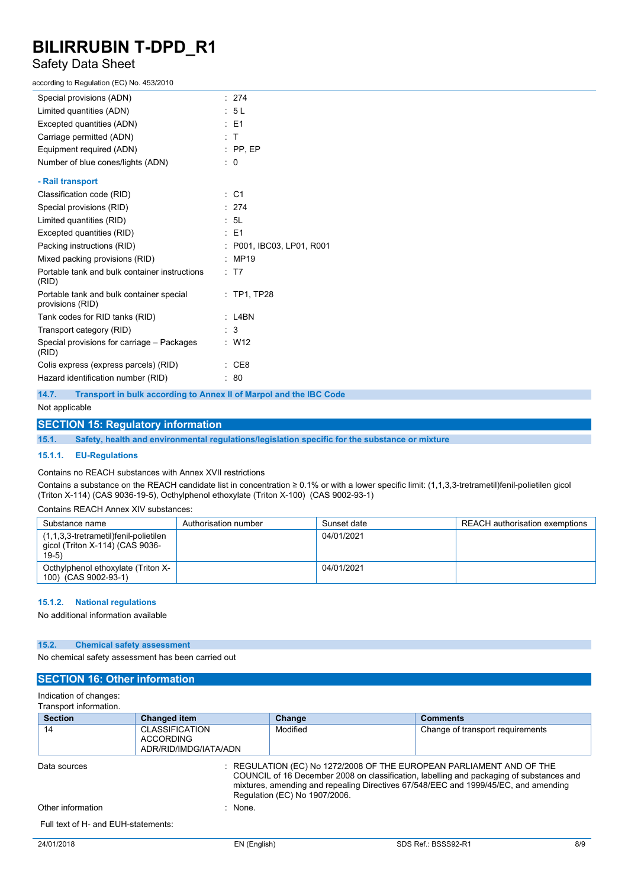## Safety Data Sheet

according to Regulation (EC) No. 453/2010

| Special provisions (ADN)                                     | : 274                     |
|--------------------------------------------------------------|---------------------------|
| Limited quantities (ADN)                                     | : 5L                      |
| Excepted quantities (ADN)                                    | $\therefore$ E1           |
| Carriage permitted (ADN)                                     | : T                       |
| Equipment required (ADN)                                     | $:$ PP, EP                |
| Number of blue cones/lights (ADN)                            | $\therefore$ 0            |
| - Rail transport                                             |                           |
| Classification code (RID)                                    | $\therefore$ C1           |
| Special provisions (RID)                                     | : 274                     |
| Limited quantities (RID)                                     | : 5L                      |
| Excepted quantities (RID)                                    | $\therefore$ E1           |
| Packing instructions (RID)                                   | : P001, IBC03, LP01, R001 |
| Mixed packing provisions (RID)                               | : MP19                    |
| Portable tank and bulk container instructions<br>(RID)       | : T7                      |
| Portable tank and bulk container special<br>provisions (RID) | $:$ TP1, TP28             |
| Tank codes for RID tanks (RID)                               | : L4BN                    |
| Transport category (RID)                                     | : 3                       |
| Special provisions for carriage - Packages<br>(RID)          | $\therefore$ W12          |
| Colis express (express parcels) (RID)                        | $\therefore$ CE8          |
| Hazard identification number (RID)                           | : 80                      |
|                                                              |                           |

**14.7. Transport in bulk according to Annex II of Marpol and the IBC Code**

#### Not applicable

### **SECTION 15: Regulatory information**

**15.1. Safety, health and environmental regulations/legislation specific for the substance or mixture**

#### **15.1.1. EU-Regulations**

Contains no REACH substances with Annex XVII restrictions

Contains a substance on the REACH candidate list in concentration ≥ 0.1% or with a lower specific limit: (1,1,3,3-tretrametil)fenil-polietilen gicol (Triton X-114) (CAS 9036-19-5), Octhylphenol ethoxylate (Triton X-100) (CAS 9002-93-1)

#### Contains REACH Annex XIV substances:

| Substance name                                                                      | Authorisation number | Sunset date | REACH authorisation exemptions |
|-------------------------------------------------------------------------------------|----------------------|-------------|--------------------------------|
| (1,1,3,3-tretrametil)fenil-polietilen<br>qicol (Triton X-114) (CAS 9036-<br>$19-5)$ |                      | 04/01/2021  |                                |
| Octhylphenol ethoxylate (Triton X-<br>100) (CAS 9002-93-1)                          |                      | 04/01/2021  |                                |

#### **15.1.2. National regulations**

No additional information available

#### **15.2. Chemical safety assessment**

No chemical safety assessment has been carried out

### **SECTION 16: Other information**

#### Indication of changes:

Transport information.

| <b>Section</b>                      | <b>Changed item</b>                                                | Change                                                                                                    | <b>Comments</b>                                                                                                                                                                 |
|-------------------------------------|--------------------------------------------------------------------|-----------------------------------------------------------------------------------------------------------|---------------------------------------------------------------------------------------------------------------------------------------------------------------------------------|
| 14                                  | <b>CLASSIFICATION</b><br><b>ACCORDING</b><br>ADR/RID/IMDG/IATA/ADN | Modified                                                                                                  | Change of transport requirements                                                                                                                                                |
| Data sources                        |                                                                    | $\pm$ REGULATION (EC) No 1272/2008 OF THE EUROPEAN PARLIAMENT AND OF THE<br>Regulation (EC) No 1907/2006. | COUNCIL of 16 December 2008 on classification, labelling and packaging of substances and<br>mixtures, amending and repealing Directives 67/548/EEC and 1999/45/EC, and amending |
| Other information                   | : None                                                             |                                                                                                           |                                                                                                                                                                                 |
| Full text of H- and EUH-statements: |                                                                    |                                                                                                           |                                                                                                                                                                                 |
| 24/01/2018                          | EN (English)                                                       |                                                                                                           | SDS Ref.: BSSS92-R1<br>8/9                                                                                                                                                      |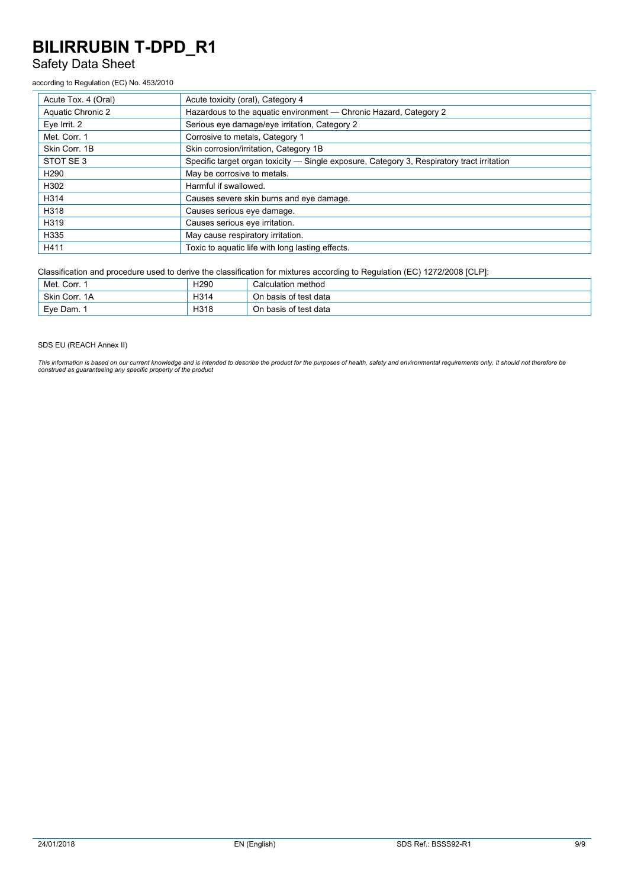## Safety Data Sheet

#### according to Regulation (EC) No. 453/2010

| Acute Tox. 4 (Oral) | Acute toxicity (oral), Category 4                                                          |
|---------------------|--------------------------------------------------------------------------------------------|
| Aquatic Chronic 2   | Hazardous to the aquatic environment - Chronic Hazard, Category 2                          |
| Eve Irrit. 2        | Serious eye damage/eye irritation, Category 2                                              |
| Met. Corr. 1        | Corrosive to metals, Category 1                                                            |
| Skin Corr. 1B       | Skin corrosion/irritation, Category 1B                                                     |
| STOT SE 3           | Specific target organ toxicity - Single exposure, Category 3, Respiratory tract irritation |
| H <sub>290</sub>    | May be corrosive to metals.                                                                |
| H302                | Harmful if swallowed.                                                                      |
| H314                | Causes severe skin burns and eye damage.                                                   |
| H318                | Causes serious eye damage.                                                                 |
| H319                | Causes serious eye irritation.                                                             |
| H335                | May cause respiratory irritation.                                                          |
| H411                | Toxic to aquatic life with long lasting effects.                                           |

Classification and procedure used to derive the classification for mixtures according to Regulation (EC) 1272/2008 [CLP]:

| Met. Corr.    | H <sub>290</sub> | Calculation method    |
|---------------|------------------|-----------------------|
| Skin Corr, 1A | H314             | On basis of test data |
| Eve Dam.      | H318             | On basis of test data |

#### SDS EU (REACH Annex II)

This information is based on our current knowledge and is intended to describe the product for the purposes of health, safety and environmental requirements only. It should not therefore be<br>construed as guaranteeing any sp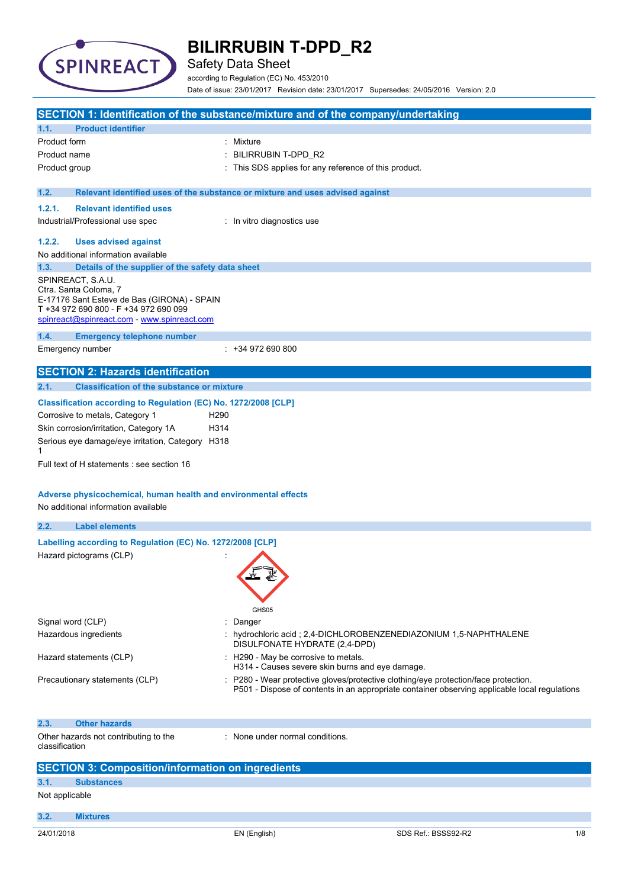

Safety Data Sheet

according to Regulation (EC) No. 453/2010 Date of issue: 23/01/2017 Revision date: 23/01/2017 Supersedes: 24/05/2016 Version: 2.0

| SECTION 1: Identification of the substance/mixture and of the company/undertaking    |                                                                               |                                                                                                                                                                                    |     |
|--------------------------------------------------------------------------------------|-------------------------------------------------------------------------------|------------------------------------------------------------------------------------------------------------------------------------------------------------------------------------|-----|
| <b>Product identifier</b><br>1.1.                                                    |                                                                               |                                                                                                                                                                                    |     |
| Product form                                                                         | : Mixture                                                                     |                                                                                                                                                                                    |     |
| Product name                                                                         | BILIRRUBIN T-DPD_R2                                                           |                                                                                                                                                                                    |     |
| Product group                                                                        | : This SDS applies for any reference of this product.                         |                                                                                                                                                                                    |     |
|                                                                                      |                                                                               |                                                                                                                                                                                    |     |
| 1.2.                                                                                 | Relevant identified uses of the substance or mixture and uses advised against |                                                                                                                                                                                    |     |
| 1.2.1.<br><b>Relevant identified uses</b>                                            |                                                                               |                                                                                                                                                                                    |     |
| Industrial/Professional use spec                                                     | : In vitro diagnostics use                                                    |                                                                                                                                                                                    |     |
| 1.2.2.<br><b>Uses advised against</b>                                                |                                                                               |                                                                                                                                                                                    |     |
| No additional information available                                                  |                                                                               |                                                                                                                                                                                    |     |
| 1.3.<br>Details of the supplier of the safety data sheet                             |                                                                               |                                                                                                                                                                                    |     |
| SPINREACT, S.A.U.                                                                    |                                                                               |                                                                                                                                                                                    |     |
| Ctra. Santa Coloma, 7                                                                |                                                                               |                                                                                                                                                                                    |     |
| E-17176 Sant Esteve de Bas (GIRONA) - SPAIN<br>T +34 972 690 800 - F +34 972 690 099 |                                                                               |                                                                                                                                                                                    |     |
| spinreact@spinreact.com - www.spinreact.com                                          |                                                                               |                                                                                                                                                                                    |     |
| 1.4.<br><b>Emergency telephone number</b>                                            |                                                                               |                                                                                                                                                                                    |     |
| Emergency number                                                                     | $: +34972690800$                                                              |                                                                                                                                                                                    |     |
|                                                                                      |                                                                               |                                                                                                                                                                                    |     |
| <b>SECTION 2: Hazards identification</b>                                             |                                                                               |                                                                                                                                                                                    |     |
| 2.1.<br><b>Classification of the substance or mixture</b>                            |                                                                               |                                                                                                                                                                                    |     |
| Classification according to Regulation (EC) No. 1272/2008 [CLP]                      |                                                                               |                                                                                                                                                                                    |     |
| Corrosive to metals, Category 1                                                      | H <sub>290</sub>                                                              |                                                                                                                                                                                    |     |
| Skin corrosion/irritation, Category 1A                                               | H314                                                                          |                                                                                                                                                                                    |     |
| Serious eye damage/eye irritation, Category H318                                     |                                                                               |                                                                                                                                                                                    |     |
| 1                                                                                    |                                                                               |                                                                                                                                                                                    |     |
| Full text of H statements : see section 16                                           |                                                                               |                                                                                                                                                                                    |     |
|                                                                                      |                                                                               |                                                                                                                                                                                    |     |
| Adverse physicochemical, human health and environmental effects                      |                                                                               |                                                                                                                                                                                    |     |
| No additional information available                                                  |                                                                               |                                                                                                                                                                                    |     |
| 2.2.<br><b>Label elements</b>                                                        |                                                                               |                                                                                                                                                                                    |     |
| Labelling according to Regulation (EC) No. 1272/2008 [CLP]                           |                                                                               |                                                                                                                                                                                    |     |
| Hazard pictograms (CLP)                                                              |                                                                               |                                                                                                                                                                                    |     |
|                                                                                      |                                                                               |                                                                                                                                                                                    |     |
|                                                                                      |                                                                               |                                                                                                                                                                                    |     |
|                                                                                      |                                                                               |                                                                                                                                                                                    |     |
|                                                                                      | GHS05                                                                         |                                                                                                                                                                                    |     |
| Signal word (CLP)                                                                    | Danger                                                                        |                                                                                                                                                                                    |     |
| Hazardous ingredients                                                                |                                                                               | hydrochloric acid; 2,4-DICHLOROBENZENEDIAZONIUM 1,5-NAPHTHALENE                                                                                                                    |     |
|                                                                                      | DISULFONATE HYDRATE (2,4-DPD)                                                 |                                                                                                                                                                                    |     |
| Hazard statements (CLP)                                                              | : H290 - May be corrosive to metals.                                          |                                                                                                                                                                                    |     |
|                                                                                      | H314 - Causes severe skin burns and eye damage.                               |                                                                                                                                                                                    |     |
| Precautionary statements (CLP)                                                       |                                                                               | P280 - Wear protective gloves/protective clothing/eye protection/face protection.<br>P501 - Dispose of contents in an appropriate container observing applicable local regulations |     |
|                                                                                      |                                                                               |                                                                                                                                                                                    |     |
|                                                                                      |                                                                               |                                                                                                                                                                                    |     |
| <b>Other hazards</b><br>2.3.                                                         |                                                                               |                                                                                                                                                                                    |     |
| Other hazards not contributing to the<br>classification                              | : None under normal conditions.                                               |                                                                                                                                                                                    |     |
|                                                                                      |                                                                               |                                                                                                                                                                                    |     |
| <b>SECTION 3: Composition/information on ingredients</b>                             |                                                                               |                                                                                                                                                                                    |     |
| 3.1.<br><b>Substances</b>                                                            |                                                                               |                                                                                                                                                                                    |     |
| Not applicable                                                                       |                                                                               |                                                                                                                                                                                    |     |
|                                                                                      |                                                                               |                                                                                                                                                                                    |     |
| 3.2.<br><b>Mixtures</b>                                                              |                                                                               |                                                                                                                                                                                    |     |
| 24/01/2018                                                                           | EN (English)                                                                  | SDS Ref.: BSSS92-R2                                                                                                                                                                | 1/8 |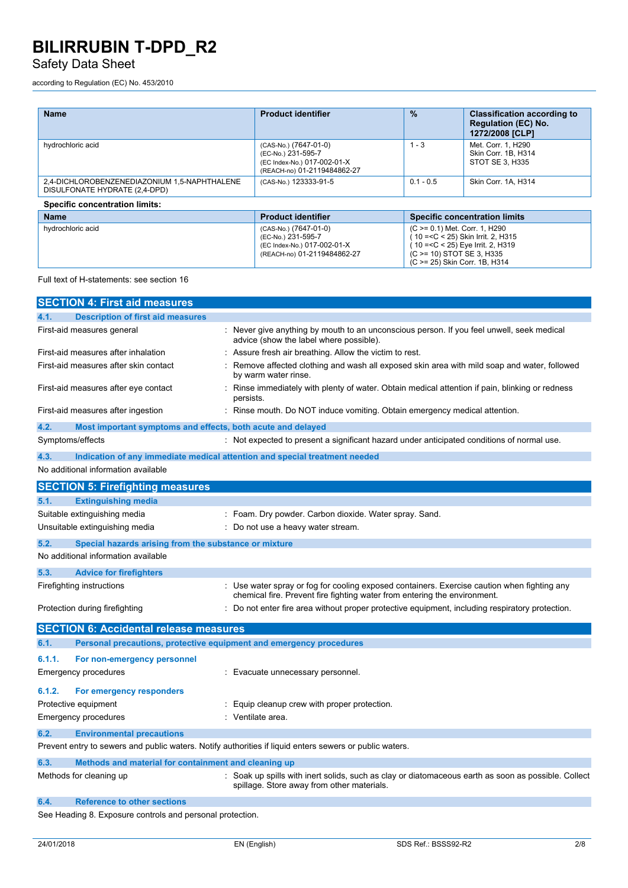## Safety Data Sheet

according to Regulation (EC) No. 453/2010

| <b>Name</b>                                                                   | <b>Product identifier</b>                                                                                 | $\frac{9}{6}$ | <b>Classification according to</b><br><b>Regulation (EC) No.</b><br>1272/2008 [CLP]                                                                                     |
|-------------------------------------------------------------------------------|-----------------------------------------------------------------------------------------------------------|---------------|-------------------------------------------------------------------------------------------------------------------------------------------------------------------------|
| hydrochloric acid                                                             | (CAS-No.) (7647-01-0)<br>(EC-No.) 231-595-7<br>(EC Index-No.) 017-002-01-X<br>(REACH-no) 01-2119484862-27 | $1 - 3$       | Met. Corr. 1. H290<br>Skin Corr. 1B. H314<br>STOT SE 3, H335                                                                                                            |
| 2,4-DICHLOROBENZENEDIAZONIUM 1,5-NAPHTHALENE<br>DISULFONATE HYDRATE (2,4-DPD) | (CAS-No.) 123333-91-5                                                                                     | $0.1 - 0.5$   | Skin Corr. 1A. H314                                                                                                                                                     |
| <b>Specific concentration limits:</b>                                         |                                                                                                           |               |                                                                                                                                                                         |
| <b>Name</b>                                                                   | <b>Product identifier</b>                                                                                 |               | <b>Specific concentration limits</b>                                                                                                                                    |
| hydrochloric acid                                                             | (CAS-No.) (7647-01-0)<br>(EC-No.) 231-595-7<br>(EC Index-No.) 017-002-01-X<br>(REACH-no) 01-2119484862-27 |               | (C >= 0.1) Met. Corr. 1, H290<br>10 = < C < 25) Skin Irrit. 2, H315<br>10 = < C < 25) Eye Irrit. 2, H319<br>(C > = 10) STOT SE 3, H335<br>(C >= 25) Skin Corr. 1B, H314 |

### Full text of H-statements: see section 16

|                                               | <b>SECTION 4: First aid measures</b>                                                                    |  |                                                                                                                                                                        |
|-----------------------------------------------|---------------------------------------------------------------------------------------------------------|--|------------------------------------------------------------------------------------------------------------------------------------------------------------------------|
| 4.1.                                          | <b>Description of first aid measures</b>                                                                |  |                                                                                                                                                                        |
|                                               | First-aid measures general                                                                              |  | Never give anything by mouth to an unconscious person. If you feel unwell, seek medical<br>advice (show the label where possible).                                     |
|                                               | First-aid measures after inhalation                                                                     |  | Assure fresh air breathing. Allow the victim to rest.                                                                                                                  |
|                                               | First-aid measures after skin contact                                                                   |  | Remove affected clothing and wash all exposed skin area with mild soap and water, followed<br>by warm water rinse.                                                     |
|                                               | First-aid measures after eye contact                                                                    |  | Rinse immediately with plenty of water. Obtain medical attention if pain, blinking or redness<br>persists.                                                             |
|                                               | First-aid measures after ingestion                                                                      |  | Rinse mouth. Do NOT induce vomiting. Obtain emergency medical attention.                                                                                               |
| 4.2.                                          | Most important symptoms and effects, both acute and delayed                                             |  |                                                                                                                                                                        |
|                                               | Symptoms/effects                                                                                        |  | Not expected to present a significant hazard under anticipated conditions of normal use.                                                                               |
| 4.3.                                          |                                                                                                         |  | Indication of any immediate medical attention and special treatment needed                                                                                             |
|                                               | No additional information available                                                                     |  |                                                                                                                                                                        |
|                                               | <b>SECTION 5: Firefighting measures</b>                                                                 |  |                                                                                                                                                                        |
| 5.1.                                          | <b>Extinguishing media</b>                                                                              |  |                                                                                                                                                                        |
|                                               | Suitable extinguishing media                                                                            |  | : Foam. Dry powder. Carbon dioxide. Water spray. Sand.                                                                                                                 |
|                                               | Unsuitable extinguishing media                                                                          |  | Do not use a heavy water stream.                                                                                                                                       |
| 5.2.                                          | Special hazards arising from the substance or mixture                                                   |  |                                                                                                                                                                        |
|                                               | No additional information available                                                                     |  |                                                                                                                                                                        |
| 5.3.                                          | <b>Advice for firefighters</b>                                                                          |  |                                                                                                                                                                        |
|                                               | Firefighting instructions                                                                               |  | Use water spray or fog for cooling exposed containers. Exercise caution when fighting any<br>chemical fire. Prevent fire fighting water from entering the environment. |
|                                               | Protection during firefighting                                                                          |  | : Do not enter fire area without proper protective equipment, including respiratory protection.                                                                        |
| <b>SECTION 6: Accidental release measures</b> |                                                                                                         |  |                                                                                                                                                                        |
| 6.1.                                          | Personal precautions, protective equipment and emergency procedures                                     |  |                                                                                                                                                                        |
| 6.1.1.                                        | For non-emergency personnel                                                                             |  |                                                                                                                                                                        |
|                                               | Emergency procedures                                                                                    |  | : Evacuate unnecessary personnel.                                                                                                                                      |
| 6.1.2.                                        | For emergency responders                                                                                |  |                                                                                                                                                                        |
|                                               | Protective equipment                                                                                    |  | Equip cleanup crew with proper protection.                                                                                                                             |
|                                               | Emergency procedures                                                                                    |  | Ventilate area.                                                                                                                                                        |
| 6.2.                                          | <b>Environmental precautions</b>                                                                        |  |                                                                                                                                                                        |
|                                               | Prevent entry to sewers and public waters. Notify authorities if liquid enters sewers or public waters. |  |                                                                                                                                                                        |
| 6.3.                                          | Methods and material for containment and cleaning up                                                    |  |                                                                                                                                                                        |
|                                               | Methods for cleaning up                                                                                 |  | : Soak up spills with inert solids, such as clay or diatomaceous earth as soon as possible. Collect<br>spillage. Store away from other materials.                      |
| 6.4.                                          | <b>Reference to other sections</b>                                                                      |  |                                                                                                                                                                        |
|                                               | $\sim$ $\sim$                                                                                           |  |                                                                                                                                                                        |

See Heading 8. Exposure controls and personal protection.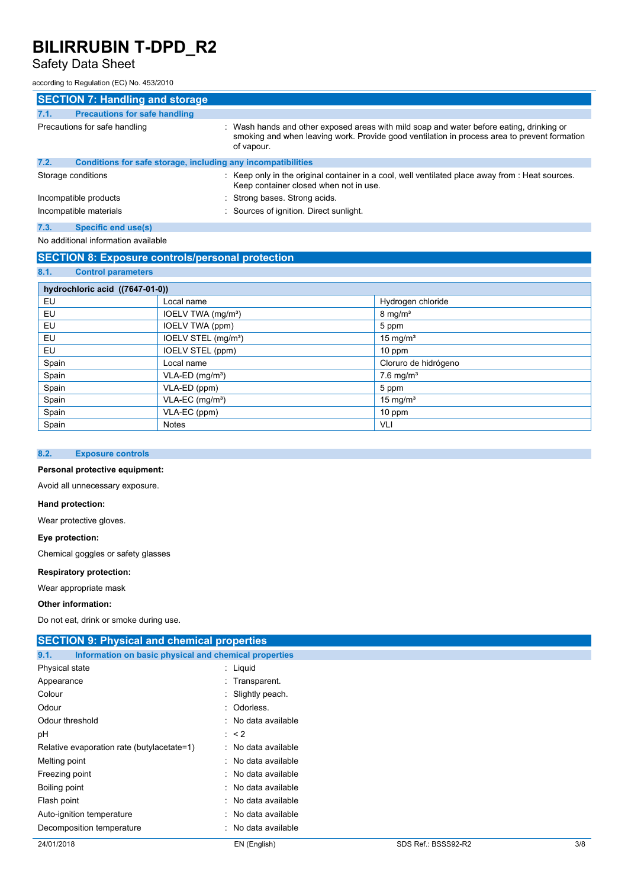## Safety Data Sheet

according to Regulation (EC) No. 453/2010

| <b>SECTION 7: Handling and storage</b>                               |                                                                                                                                                                                                        |
|----------------------------------------------------------------------|--------------------------------------------------------------------------------------------------------------------------------------------------------------------------------------------------------|
| <b>Precautions for safe handling</b><br>7.1.                         |                                                                                                                                                                                                        |
| Precautions for safe handling                                        | : Wash hands and other exposed areas with mild soap and water before eating, drinking or<br>smoking and when leaving work. Provide good ventilation in process area to prevent formation<br>of vapour. |
| 7.2.<br>Conditions for safe storage, including any incompatibilities |                                                                                                                                                                                                        |
| Storage conditions                                                   | : Keep only in the original container in a cool, well ventilated place away from : Heat sources.<br>Keep container closed when not in use.                                                             |
| Incompatible products                                                | : Strong bases. Strong acids.                                                                                                                                                                          |
| Incompatible materials                                               | : Sources of ignition. Direct sunlight.                                                                                                                                                                |

## **7.3. Specific end use(s)**

No additional information available

### **SECTION 8: Exposure controls/personal protection**

## **8.1. Control parameters**

| hydrochloric acid ((7647-01-0)) |                                 |                         |  |
|---------------------------------|---------------------------------|-------------------------|--|
| EU                              | Local name                      | Hydrogen chloride       |  |
| EU                              | IOELV TWA (mg/m <sup>3</sup> )  | $8 \text{ mg/m}^3$      |  |
| EU                              | IOELV TWA (ppm)                 | 5 ppm                   |  |
| EU                              | IOELV STEL (mg/m <sup>3</sup> ) | $15 \text{ mg/m}^3$     |  |
| EU                              | IOELV STEL (ppm)                | $10$ ppm                |  |
| Spain                           | Local name                      | Cloruro de hidrógeno    |  |
| Spain                           | $VLA-ED$ (mg/m <sup>3</sup> )   | $7.6$ mg/m <sup>3</sup> |  |
| Spain                           | VLA-ED (ppm)                    | 5 ppm                   |  |
| Spain                           | $VLA-EC$ (mg/m <sup>3</sup> )   | 15 mg/ $m3$             |  |
| Spain                           | VLA-EC (ppm)                    | 10 ppm                  |  |
| Spain                           | <b>Notes</b>                    | VLI                     |  |

### **8.2. Exposure controls**

### **Personal protective equipment:**

Avoid all unnecessary exposure.

#### **Hand protection:**

Wear protective gloves.

#### **Eye protection:**

Chemical goggles or safety glasses

### **Respiratory protection:**

Wear appropriate mask

#### **Other information:**

Do not eat, drink or smoke during use.

| <b>SECTION 9: Physical and chemical properties</b>            |                     |  |  |
|---------------------------------------------------------------|---------------------|--|--|
| Information on basic physical and chemical properties<br>9.1. |                     |  |  |
| Physical state                                                | $:$ Liquid          |  |  |
| Appearance                                                    | : Transparent.      |  |  |
| Colour                                                        | : Slightly peach.   |  |  |
| Odour                                                         | : Odorless.         |  |  |
| Odour threshold                                               | : No data available |  |  |
| рH                                                            | $\therefore$ < 2    |  |  |
| Relative evaporation rate (butylacetate=1)                    | : No data available |  |  |
| Melting point                                                 | : No data available |  |  |
| Freezing point                                                | : No data available |  |  |
| Boiling point                                                 | : No data available |  |  |
| Flash point                                                   | No data available   |  |  |
| Auto-ignition temperature                                     | No data available   |  |  |
| Decomposition temperature                                     | No data available   |  |  |
|                                                               |                     |  |  |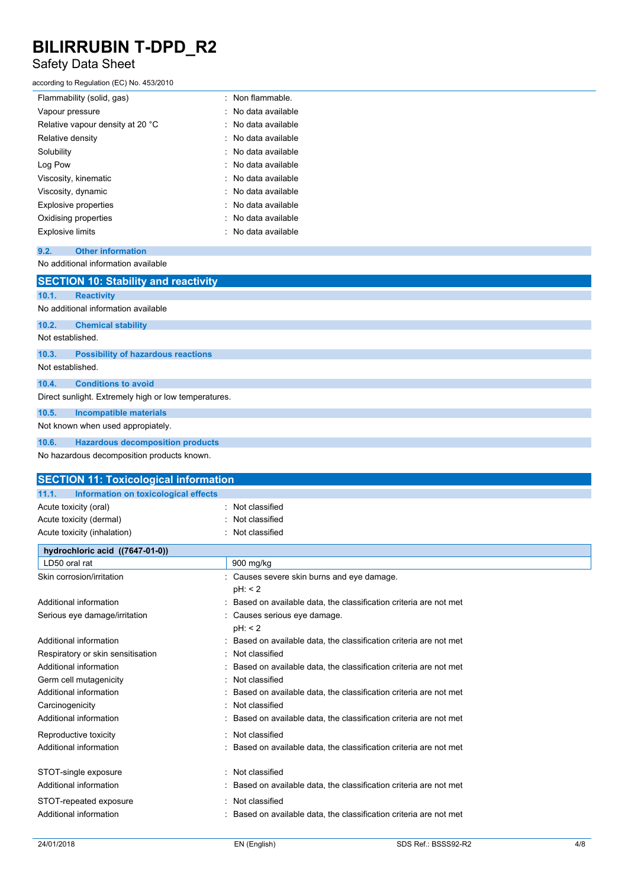## Safety Data Sheet

#### according to Regulation (EC) No. 453/2010

| Flammability (solid, gas)        | : Non flammable.    |
|----------------------------------|---------------------|
| Vapour pressure                  | ∴ No data available |
| Relative vapour density at 20 °C | : No data available |
| Relative density                 | ∴ No data available |
| Solubility                       | : No data available |
| Log Pow                          | : No data available |
| Viscosity, kinematic             | : No data available |
| Viscosity, dynamic               | : No data available |
| <b>Explosive properties</b>      | : No data available |
| Oxidising properties             | : No data available |
| <b>Explosive limits</b>          | : No data available |

### **9.2. Other information**

No additional information available

|                                                      | <b>SECTION 10: Stability and reactivity</b> |  |  |  |
|------------------------------------------------------|---------------------------------------------|--|--|--|
| 10.1.                                                | <b>Reactivity</b>                           |  |  |  |
|                                                      | No additional information available         |  |  |  |
| 10.2.                                                | <b>Chemical stability</b>                   |  |  |  |
| Not established.                                     |                                             |  |  |  |
| 10.3.                                                | <b>Possibility of hazardous reactions</b>   |  |  |  |
| Not established.                                     |                                             |  |  |  |
| 10.4.                                                | <b>Conditions to avoid</b>                  |  |  |  |
| Direct sunlight. Extremely high or low temperatures. |                                             |  |  |  |
| 10.5.                                                | <b>Incompatible materials</b>               |  |  |  |
|                                                      | Not known when used appropiately.           |  |  |  |
| 10.6.                                                | <b>Hazardous decomposition products</b>     |  |  |  |
|                                                      | No hazardous decomposition products known.  |  |  |  |

| Information on toxicological effects<br>11.1.<br>: Not classified<br>Acute toxicity (oral)<br>Not classified<br>Acute toxicity (dermal)<br>Not classified<br>Acute toxicity (inhalation)<br>hydrochloric acid ((7647-01-0))<br>LD50 oral rat<br>900 mg/kg |
|-----------------------------------------------------------------------------------------------------------------------------------------------------------------------------------------------------------------------------------------------------------|
|                                                                                                                                                                                                                                                           |
|                                                                                                                                                                                                                                                           |
|                                                                                                                                                                                                                                                           |
|                                                                                                                                                                                                                                                           |
|                                                                                                                                                                                                                                                           |
|                                                                                                                                                                                                                                                           |
| Skin corrosion/irritation<br>: Causes severe skin burns and eye damage.                                                                                                                                                                                   |
| pH: 2                                                                                                                                                                                                                                                     |
| Additional information<br>Based on available data, the classification criteria are not met                                                                                                                                                                |
| Serious eye damage/irritation<br>: Causes serious eye damage.                                                                                                                                                                                             |
| pH: 2                                                                                                                                                                                                                                                     |
| Additional information<br>Based on available data, the classification criteria are not met                                                                                                                                                                |
| Respiratory or skin sensitisation<br>Not classified                                                                                                                                                                                                       |
| Additional information<br>Based on available data, the classification criteria are not met                                                                                                                                                                |
| Not classified<br>Germ cell mutagenicity                                                                                                                                                                                                                  |
| Additional information<br>Based on available data, the classification criteria are not met                                                                                                                                                                |
| Not classified<br>Carcinogenicity                                                                                                                                                                                                                         |
| Additional information<br>Based on available data, the classification criteria are not met                                                                                                                                                                |
| Not classified<br>Reproductive toxicity                                                                                                                                                                                                                   |
| Additional information<br>Based on available data, the classification criteria are not met                                                                                                                                                                |
| STOT-single exposure<br>: Not classified                                                                                                                                                                                                                  |
| Additional information<br>Based on available data, the classification criteria are not met                                                                                                                                                                |
| Not classified<br>STOT-repeated exposure                                                                                                                                                                                                                  |
| Additional information<br>Based on available data, the classification criteria are not met                                                                                                                                                                |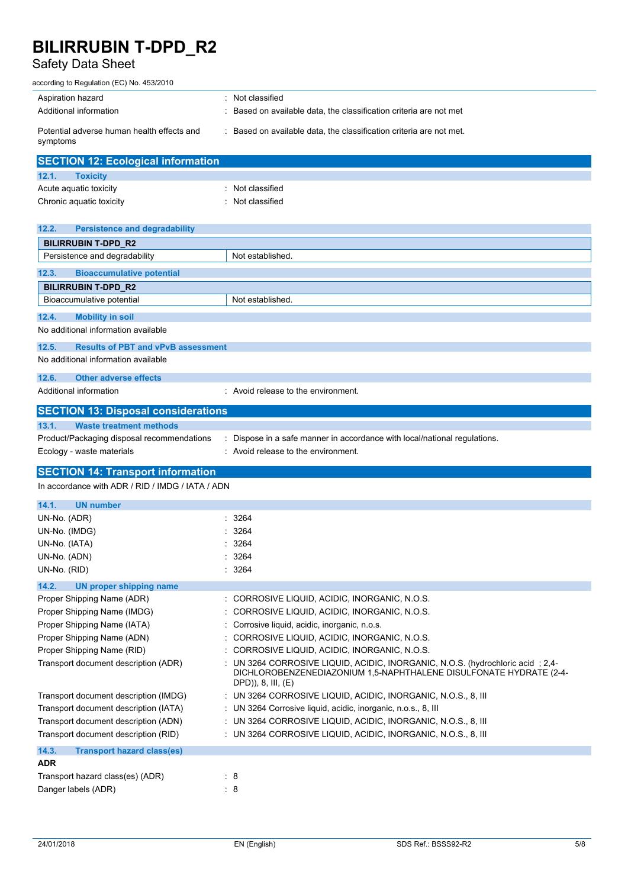# Safety Data Sheet

| according to Regulation (EC) No. 453/2010                   |                                                                                                                                                                            |
|-------------------------------------------------------------|----------------------------------------------------------------------------------------------------------------------------------------------------------------------------|
| Aspiration hazard                                           | Not classified                                                                                                                                                             |
| Additional information                                      | Based on available data, the classification criteria are not met                                                                                                           |
| Potential adverse human health effects and<br>symptoms      | : Based on available data, the classification criteria are not met.                                                                                                        |
| <b>SECTION 12: Ecological information</b>                   |                                                                                                                                                                            |
| 12.1.<br><b>Toxicity</b>                                    |                                                                                                                                                                            |
| Acute aquatic toxicity                                      | : Not classified                                                                                                                                                           |
| Chronic aquatic toxicity                                    | : Not classified                                                                                                                                                           |
|                                                             |                                                                                                                                                                            |
| 12.2.<br><b>Persistence and degradability</b>               |                                                                                                                                                                            |
| <b>BILIRRUBIN T-DPD_R2</b><br>Persistence and degradability | Not established.                                                                                                                                                           |
|                                                             |                                                                                                                                                                            |
| <b>Bioaccumulative potential</b><br>12.3.                   |                                                                                                                                                                            |
| <b>BILIRRUBIN T-DPD R2</b>                                  |                                                                                                                                                                            |
| Bioaccumulative potential                                   | Not established.                                                                                                                                                           |
| 12.4.<br><b>Mobility in soil</b>                            |                                                                                                                                                                            |
| No additional information available                         |                                                                                                                                                                            |
| 12.5.<br><b>Results of PBT and vPvB assessment</b>          |                                                                                                                                                                            |
| No additional information available                         |                                                                                                                                                                            |
| 12.6.<br><b>Other adverse effects</b>                       |                                                                                                                                                                            |
| Additional information                                      | : Avoid release to the environment.                                                                                                                                        |
|                                                             |                                                                                                                                                                            |
| <b>SECTION 13: Disposal considerations</b>                  |                                                                                                                                                                            |
| 13.1.<br><b>Waste treatment methods</b>                     |                                                                                                                                                                            |
|                                                             |                                                                                                                                                                            |
| Product/Packaging disposal recommendations                  | : Dispose in a safe manner in accordance with local/national regulations.                                                                                                  |
| Ecology - waste materials                                   | : Avoid release to the environment.                                                                                                                                        |
| <b>SECTION 14: Transport information</b>                    |                                                                                                                                                                            |
| In accordance with ADR / RID / IMDG / IATA / ADN            |                                                                                                                                                                            |
|                                                             |                                                                                                                                                                            |
| 14.1.<br><b>UN number</b><br>UN-No. (ADR)                   | : 3264                                                                                                                                                                     |
| UN-No. (IMDG)                                               | 3264                                                                                                                                                                       |
| UN-No. (IATA)                                               | 3264                                                                                                                                                                       |
| UN-No. (ADN)                                                | : 3264                                                                                                                                                                     |
| UN-No. (RID)                                                | : 3264                                                                                                                                                                     |
| 14.2.<br><b>UN proper shipping name</b>                     |                                                                                                                                                                            |
| Proper Shipping Name (ADR)                                  | : CORROSIVE LIQUID, ACIDIC, INORGANIC, N.O.S.                                                                                                                              |
| Proper Shipping Name (IMDG)                                 | CORROSIVE LIQUID, ACIDIC, INORGANIC, N.O.S.                                                                                                                                |
| Proper Shipping Name (IATA)                                 | Corrosive liquid, acidic, inorganic, n.o.s.                                                                                                                                |
| Proper Shipping Name (ADN)                                  | CORROSIVE LIQUID, ACIDIC, INORGANIC, N.O.S.                                                                                                                                |
| Proper Shipping Name (RID)                                  | : CORROSIVE LIQUID, ACIDIC, INORGANIC, N.O.S.                                                                                                                              |
| Transport document description (ADR)                        | : UN 3264 CORROSIVE LIQUID, ACIDIC, INORGANIC, N.O.S. (hydrochloric acid; 2,4-<br>DICHLOROBENZENEDIAZONIUM 1,5-NAPHTHALENE DISULFONATE HYDRATE (2-4-<br>DPD)), 8, III, (E) |
| Transport document description (IMDG)                       | : UN 3264 CORROSIVE LIQUID, ACIDIC, INORGANIC, N.O.S., 8, III                                                                                                              |
| Transport document description (IATA)                       | : UN 3264 Corrosive liquid, acidic, inorganic, n.o.s., 8, III                                                                                                              |
| Transport document description (ADN)                        | : UN 3264 CORROSIVE LIQUID, ACIDIC, INORGANIC, N.O.S., 8, III                                                                                                              |
| Transport document description (RID)                        | : UN 3264 CORROSIVE LIQUID, ACIDIC, INORGANIC, N.O.S., 8, III                                                                                                              |
| 14.3.<br><b>Transport hazard class(es)</b>                  |                                                                                                                                                                            |
| <b>ADR</b>                                                  |                                                                                                                                                                            |
| Transport hazard class(es) (ADR)                            | : 8                                                                                                                                                                        |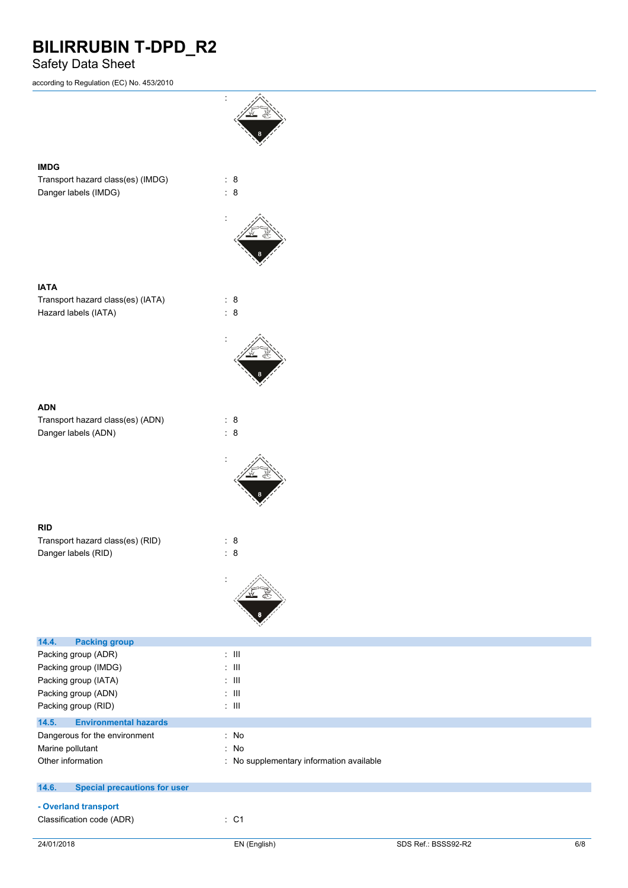## Safety Data Sheet

according to Regulation (EC) No. 453/2010



**RID**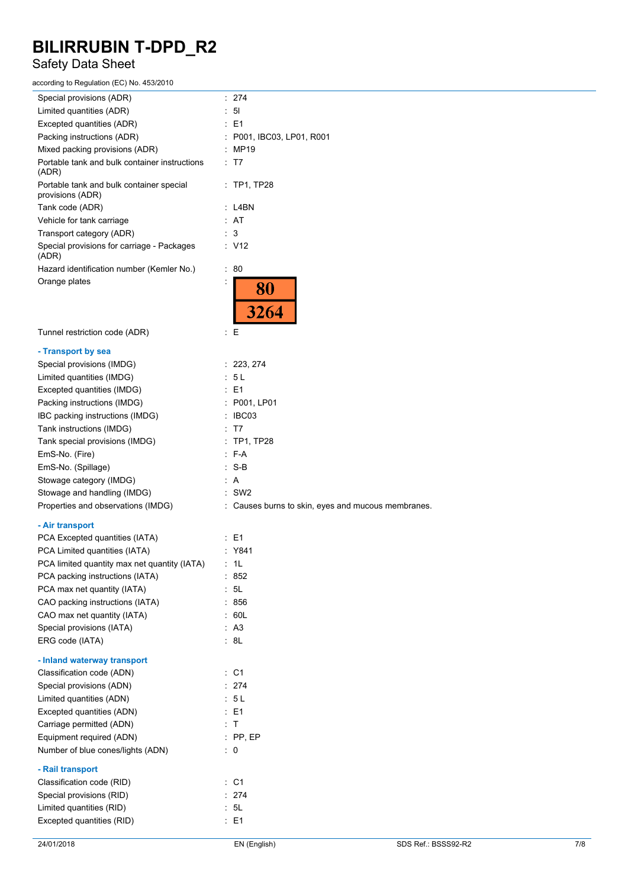## Safety Data Sheet

according to Regulation (EC) No. 453/2010

| Special provisions (ADR)                                          | : 274                                                         |
|-------------------------------------------------------------------|---------------------------------------------------------------|
| Limited quantities (ADR)                                          | 51                                                            |
| Excepted quantities (ADR)                                         | E1                                                            |
| Packing instructions (ADR)                                        | : P001, IBC03, LP01, R001                                     |
| Mixed packing provisions (ADR)                                    | : MP19                                                        |
| Portable tank and bulk container instructions<br>(ADR)            | : T7                                                          |
| Portable tank and bulk container special<br>provisions (ADR)      | $:$ TP1, TP28                                                 |
| Tank code (ADR)                                                   | : L4BN                                                        |
| Vehicle for tank carriage                                         | : AT                                                          |
| Transport category (ADR)                                          | 3                                                             |
| Special provisions for carriage - Packages<br>(ADR)               | : V12                                                         |
| Hazard identification number (Kemler No.)                         | : 80                                                          |
| Orange plates                                                     | 80<br>3264                                                    |
| Tunnel restriction code (ADR)                                     | Ε<br>÷                                                        |
| - Transport by sea                                                |                                                               |
| Special provisions (IMDG)                                         | : 223, 274                                                    |
| Limited quantities (IMDG)                                         | : 5L                                                          |
| Excepted quantities (IMDG)                                        | : E1                                                          |
| Packing instructions (IMDG)                                       | : P001, LP01                                                  |
| IBC packing instructions (IMDG)                                   | $\therefore$ IBC03                                            |
| Tank instructions (IMDG)                                          | : T7                                                          |
| Tank special provisions (IMDG)                                    | : TP1, TP28                                                   |
| EmS-No. (Fire)                                                    | : F-A<br>$: S-B$                                              |
| EmS-No. (Spillage)                                                |                                                               |
| Stowage category (IMDG)                                           | : A                                                           |
| Stowage and handling (IMDG)<br>Properties and observations (IMDG) | $:$ SW2<br>: Causes burns to skin, eyes and mucous membranes. |
|                                                                   |                                                               |
| - Air transport                                                   |                                                               |
| PCA Excepted quantities (IATA)                                    | : E1                                                          |
| PCA Limited quantities (IATA)                                     | : Y841                                                        |
| PCA limited quantity max net quantity (IATA) : 1L                 |                                                               |
| PCA packing instructions (IATA)                                   | : 852                                                         |
| PCA max net quantity (IATA)                                       | : 5L                                                          |
| CAO packing instructions (IATA)                                   | : 856                                                         |
| CAO max net quantity (IATA)                                       | : 60L                                                         |
| Special provisions (IATA)                                         | : A3                                                          |
| ERG code (IATA)                                                   | : 8L                                                          |
| - Inland waterway transport                                       |                                                               |
| Classification code (ADN)                                         | $\therefore$ C1                                               |
| Special provisions (ADN)                                          | : 274                                                         |
| Limited quantities (ADN)                                          | : 5L                                                          |
| Excepted quantities (ADN)                                         | $\therefore$ E1                                               |
| Carriage permitted (ADN)                                          | : T                                                           |
| Equipment required (ADN)                                          | $:$ PP, EP                                                    |
| Number of blue cones/lights (ADN)<br>- Rail transport             | $\therefore$ 0                                                |
| Classification code (RID)                                         | $:$ C1                                                        |
| Special provisions (RID)                                          | : 274                                                         |
| Limited quantities (RID)                                          | : 5L                                                          |
| Excepted quantities (RID)                                         | : E1                                                          |
|                                                                   |                                                               |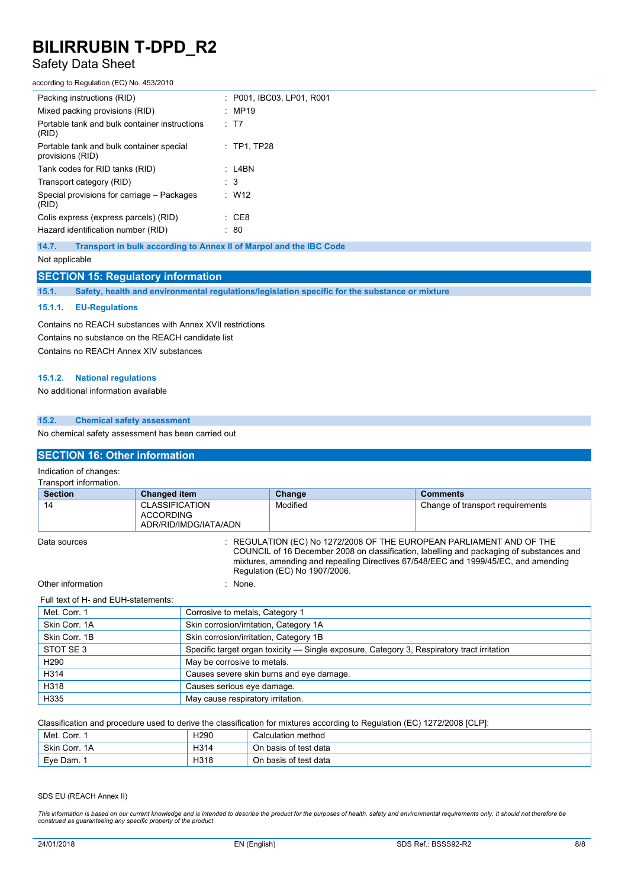## Safety Data Sheet

according to Regulation (EC) No. 453/2010

| Packing instructions (RID)                                   | : P001. IBC03. LP01. R001 |
|--------------------------------------------------------------|---------------------------|
| Mixed packing provisions (RID)                               | : MP19                    |
| Portable tank and bulk container instructions<br>(RID)       | : T7                      |
| Portable tank and bulk container special<br>provisions (RID) | $\therefore$ TP1. TP28    |
| Tank codes for RID tanks (RID)                               | : L4BN                    |
| Transport category (RID)                                     | $\therefore$ 3            |
| Special provisions for carriage – Packages<br>(RID)          | $\therefore$ W12          |
| Colis express (express parcels) (RID)                        | : CE8                     |
| Hazard identification number (RID)                           | : 80                      |
|                                                              |                           |

**14.7. Transport in bulk according to Annex II of Marpol and the IBC Code**

Not applicable

#### **SECTION 15: Regulatory information**

**15.1. Safety, health and environmental regulations/legislation specific for the substance or mixture**

#### **15.1.1. EU-Regulations**

Contains no REACH substances with Annex XVII restrictions Contains no substance on the REACH candidate list Contains no REACH Annex XIV substances

#### **15.1.2. National regulations**

No additional information available

### **15.2. Chemical safety assessment**

No chemical safety assessment has been carried out

## **SECTION 16: Other information**

Indication of changes:

| <b>Section</b> | <b>Changed item</b>                                                                                                                                                                                                                                     | Change   | <b>Comments</b>                  |
|----------------|---------------------------------------------------------------------------------------------------------------------------------------------------------------------------------------------------------------------------------------------------------|----------|----------------------------------|
| 14             | <b>CLASSIFICATION</b><br>ACCORDING<br>ADR/RID/IMDG/IATA/ADN                                                                                                                                                                                             | Modified | Change of transport requirements |
| Data sources   | : REGULATION (EC) No 1272/2008 OF THE EUROPEAN PARLIAMENT AND OF THE<br>COUNCIL of 16 December 2008 on classification, labelling and packaging of substances and<br>mixtures, amending and repealing Directives 67/548/EEC and 1999/45/EC, and amending |          |                                  |

Regulation (EC) No 1907/2006.

Other information in the set of the set of the set of the set of the set of the set of the set of the set of the set of the set of the set of the set of the set of the set of the set of the set of the set of the set of the

#### Full text of H- and EUH-statements:

| Met. Corr. 1     | Corrosive to metals, Category 1                                                            |
|------------------|--------------------------------------------------------------------------------------------|
| Skin Corr, 1A    | Skin corrosion/irritation, Category 1A                                                     |
| Skin Corr. 1B    | Skin corrosion/irritation, Category 1B                                                     |
| STOT SE 3        | Specific target organ toxicity - Single exposure, Category 3, Respiratory tract irritation |
| H <sub>290</sub> | May be corrosive to metals.                                                                |
| H314             | Causes severe skin burns and eye damage.                                                   |
| H318             | Causes serious eye damage.                                                                 |
| H335             | May cause respiratory irritation.                                                          |

Classification and procedure used to derive the classification for mixtures according to Regulation (EC) 1272/2008 [CLP]:

| ' Corr.<br>Met. | H <sub>290</sub> | Calculation method    |
|-----------------|------------------|-----------------------|
| Skin Corr. 1A   | H314             | On basis of test data |
| Eve Dam.        | H318             | On basis of test data |

SDS EU (REACH Annex II)

This information is based on our current knowledge and is intended to describe the product for the purposes of health, safety and environmental requirements only. It should not therefore be *construed as guaranteeing any specific property of the product*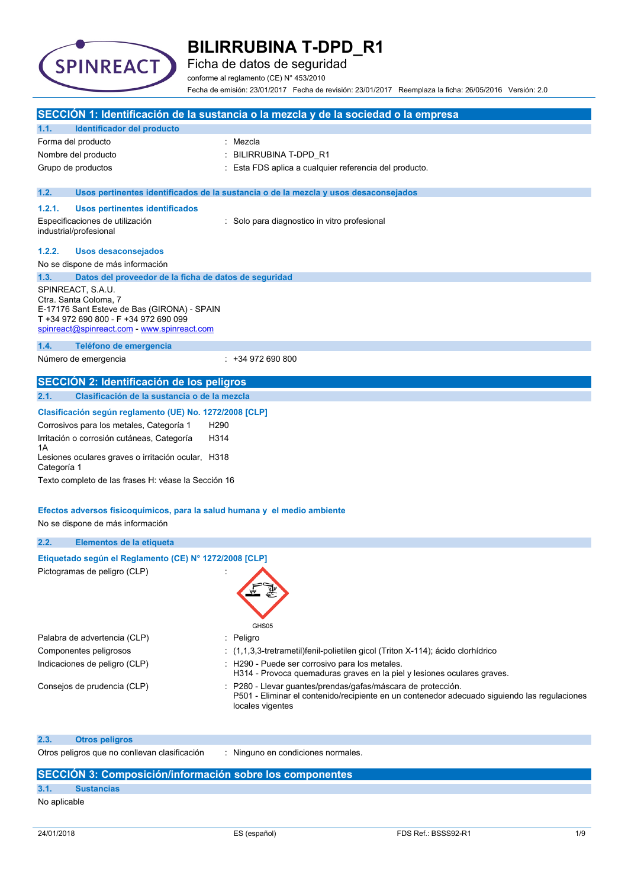

Ficha de datos de seguridad

conforme al reglamento (CE) N° 453/2010

Fecha de emisión: 23/01/2017 Fecha de revisión: 23/01/2017 Reemplaza la ficha: 26/05/2016 Versión: 2.0

|                                                                                                                                                                                   | SECCIÓN 1: Identificación de la sustancia o la mezcla y de la sociedad o la empresa                                                                                            |
|-----------------------------------------------------------------------------------------------------------------------------------------------------------------------------------|--------------------------------------------------------------------------------------------------------------------------------------------------------------------------------|
| <b>Identificador del producto</b><br>1.1.                                                                                                                                         |                                                                                                                                                                                |
| Forma del producto                                                                                                                                                                | : Mezcla                                                                                                                                                                       |
| Nombre del producto                                                                                                                                                               | BILIRRUBINA T-DPD R1                                                                                                                                                           |
| Grupo de productos                                                                                                                                                                | Esta FDS aplica a cualquier referencia del producto.                                                                                                                           |
| 1.2.                                                                                                                                                                              | Usos pertinentes identificados de la sustancia o de la mezcla y usos desaconsejados                                                                                            |
| 1.2.1.<br><b>Usos pertinentes identificados</b>                                                                                                                                   |                                                                                                                                                                                |
| Especificaciones de utilización<br>industrial/profesional                                                                                                                         | : Solo para diagnostico in vitro profesional                                                                                                                                   |
| 1.2.2.<br><b>Usos desaconsejados</b>                                                                                                                                              |                                                                                                                                                                                |
| No se dispone de más información                                                                                                                                                  |                                                                                                                                                                                |
| 1.3.<br>Datos del proveedor de la ficha de datos de seguridad                                                                                                                     |                                                                                                                                                                                |
| SPINREACT, S.A.U.<br>Ctra. Santa Coloma, 7<br>E-17176 Sant Esteve de Bas (GIRONA) - SPAIN<br>T +34 972 690 800 - F +34 972 690 099<br>spinreact@spinreact.com - www.spinreact.com |                                                                                                                                                                                |
| Teléfono de emergencia<br>1.4.                                                                                                                                                    |                                                                                                                                                                                |
| Número de emergencia                                                                                                                                                              | $: +34972690800$                                                                                                                                                               |
| SECCIÓN 2: Identificación de los peligros                                                                                                                                         |                                                                                                                                                                                |
| Clasificación de la sustancia o de la mezcla<br>2.1.                                                                                                                              |                                                                                                                                                                                |
| Clasificación según reglamento (UE) No. 1272/2008 [CLP]<br>Corrosivos para los metales, Categoría 1<br>H <sub>290</sub><br>Irritación o corrosión cutáneas, Categoría<br>H314     |                                                                                                                                                                                |
| 1Α<br>Lesiones oculares graves o irritación ocular, H318<br>Categoría 1                                                                                                           |                                                                                                                                                                                |
| Texto completo de las frases H: véase la Sección 16                                                                                                                               |                                                                                                                                                                                |
|                                                                                                                                                                                   |                                                                                                                                                                                |
| Efectos adversos fisicoquímicos, para la salud humana y el medio ambiente<br>No se dispone de más información                                                                     |                                                                                                                                                                                |
| 2.2.<br>Elementos de la etiqueta                                                                                                                                                  |                                                                                                                                                                                |
| Etiquetado según el Reglamento (CE) Nº 1272/2008 [CLP]                                                                                                                            |                                                                                                                                                                                |
| Pictogramas de peligro (CLP)                                                                                                                                                      | GHS05                                                                                                                                                                          |
| Palabra de advertencia (CLP)                                                                                                                                                      | Peligro                                                                                                                                                                        |
| Componentes peligrosos                                                                                                                                                            | $(1,1,3,3$ -tretrametil)fenil-polietilen gicol (Triton X-114); ácido clorhídrico                                                                                               |
| Indicaciones de peligro (CLP)                                                                                                                                                     | : H290 - Puede ser corrosivo para los metales.                                                                                                                                 |
|                                                                                                                                                                                   | H314 - Provoca quemaduras graves en la piel y lesiones oculares graves.                                                                                                        |
| Consejos de prudencia (CLP)                                                                                                                                                       | P280 - Llevar guantes/prendas/gafas/máscara de protección.<br>P501 - Eliminar el contenido/recipiente en un contenedor adecuado siguiendo las regulaciones<br>locales vigentes |
| 2.3.<br><b>Otros peligros</b>                                                                                                                                                     |                                                                                                                                                                                |
| Otros peligros que no conllevan clasificación                                                                                                                                     | : Ninguno en condiciones normales.                                                                                                                                             |
| SECCIÓN 3: Composición/información sobre los componentes                                                                                                                          |                                                                                                                                                                                |

# **3.1. Sustancias**

No aplicable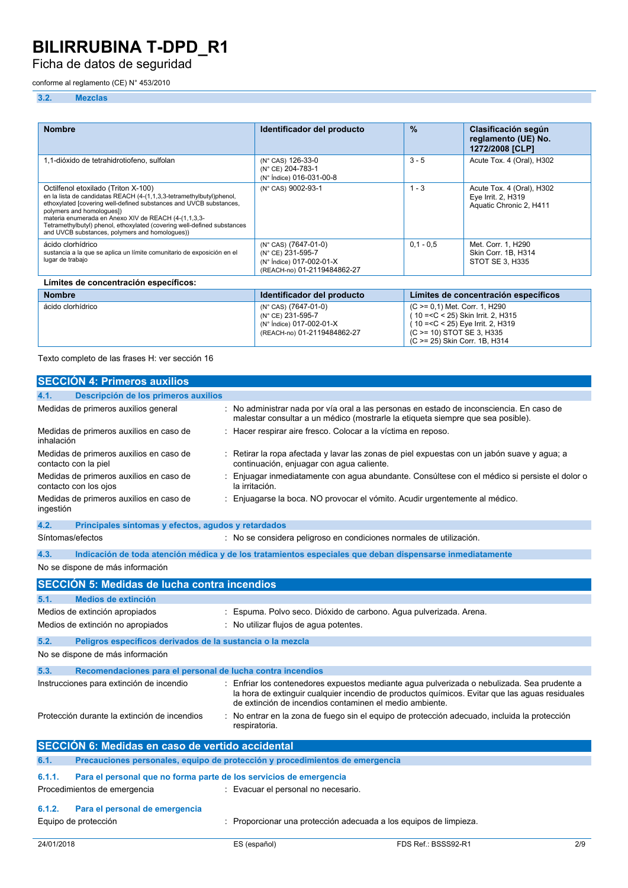Ficha de datos de seguridad

### conforme al reglamento (CE) N° 453/2010

### **3.2. Mezclas**

| <b>Nombre</b>                                                                                                                                                                                                                                                                                                                                                                                       | Identificador del producto                                                                                      | $\frac{9}{6}$ | Clasificación según<br>reglamento (UE) No.<br>1272/2008 [CLP]              |  |
|-----------------------------------------------------------------------------------------------------------------------------------------------------------------------------------------------------------------------------------------------------------------------------------------------------------------------------------------------------------------------------------------------------|-----------------------------------------------------------------------------------------------------------------|---------------|----------------------------------------------------------------------------|--|
| 1,1-dióxido de tetrahidrotiofeno, sulfolan                                                                                                                                                                                                                                                                                                                                                          | (N° CAS) 126-33-0<br>(N° CE) 204-783-1<br>(N° Índice) 016-031-00-8                                              | $3 - 5$       | Acute Tox. 4 (Oral), H302                                                  |  |
| Octilfenol etoxilado (Triton X-100)<br>en la lista de candidatas REACH (4-(1,1,3,3-tetramethylbutyl)phenol,<br>ethoxylated [covering well-defined substances and UVCB substances,<br>polymers and homologues])<br>materia enumerada en Anexo XIV de REACH (4-(1,1,3,3-<br>Tetramethylbutyl) phenol, ethoxylated (covering well-defined substances<br>and UVCB substances, polymers and homologues)) | (N° CAS) 9002-93-1                                                                                              | $1 - 3$       | Acute Tox. 4 (Oral), H302<br>Eye Irrit. 2, H319<br>Aquatic Chronic 2, H411 |  |
| ácido clorhídrico<br>sustancia a la que se aplica un límite comunitario de exposición en el<br>lugar de trabajo                                                                                                                                                                                                                                                                                     | $(N^{\circ}$ CAS) $(7647-01-0)$<br>(N° CE) 231-595-7<br>(N° Índice) 017-002-01-X<br>(REACH-no) 01-2119484862-27 | $0.1 - 0.5$   | Met. Corr. 1, H290<br>Skin Corr. 1B. H314<br>STOT SE 3. H335               |  |
| Límites de concentración específicos:                                                                                                                                                                                                                                                                                                                                                               |                                                                                                                 |               |                                                                            |  |

| <b>Nombre</b>     | Identificador del producto                                                                           | Límites de concentración específicos                                                                                                                                         |
|-------------------|------------------------------------------------------------------------------------------------------|------------------------------------------------------------------------------------------------------------------------------------------------------------------------------|
| ácido clorhídrico | (N° CAS) (7647-01-0)<br>(N° CE) 231-595-7<br>(N° Índice) 017-002-01-X<br>(REACH-no) 01-2119484862-27 | (C >= 0,1) Met. Corr. 1, H290<br>$(10 = < C < 25)$ Skin Irrit. 2, H315<br>( $10 = C < 25$ ) Eye Irrit. 2, H319<br>(C >= 10) STOT SE 3, H335<br>(C >= 25) Skin Corr. 1B, H314 |

Texto completo de las frases H: ver sección 16

|                                                                                         | <b>SECCIÓN 4: Primeros auxilios</b>                                                                                                                           |  |                                                                                                                                                                                                                                                        |
|-----------------------------------------------------------------------------------------|---------------------------------------------------------------------------------------------------------------------------------------------------------------|--|--------------------------------------------------------------------------------------------------------------------------------------------------------------------------------------------------------------------------------------------------------|
| 4.1.                                                                                    | Descripción de los primeros auxilios                                                                                                                          |  |                                                                                                                                                                                                                                                        |
|                                                                                         | Medidas de primeros auxilios general                                                                                                                          |  | No administrar nada por vía oral a las personas en estado de inconsciencia. En caso de<br>malestar consultar a un médico (mostrarle la etiqueta siempre que sea posible).                                                                              |
| inhalación                                                                              | Medidas de primeros auxilios en caso de                                                                                                                       |  | Hacer respirar aire fresco. Colocar a la víctima en reposo.                                                                                                                                                                                            |
|                                                                                         | Medidas de primeros auxilios en caso de<br>contacto con la piel                                                                                               |  | Retirar la ropa afectada y lavar las zonas de piel expuestas con un jabón suave y agua; a<br>continuación, enjuagar con aqua caliente.                                                                                                                 |
|                                                                                         | Medidas de primeros auxilios en caso de<br>contacto con los ojos                                                                                              |  | Enjuagar inmediatamente con agua abundante. Consúltese con el médico si persiste el dolor o<br>la irritación.                                                                                                                                          |
| ingestión                                                                               | Medidas de primeros auxilios en caso de                                                                                                                       |  | Enjuagarse la boca. NO provocar el vómito. Acudir urgentemente al médico.                                                                                                                                                                              |
| 4.2.                                                                                    | Principales síntomas y efectos, agudos y retardados                                                                                                           |  |                                                                                                                                                                                                                                                        |
| Síntomas/efectos                                                                        |                                                                                                                                                               |  | : No se considera peligroso en condiciones normales de utilización.                                                                                                                                                                                    |
| 4.3.                                                                                    |                                                                                                                                                               |  | Indicación de toda atención médica y de los tratamientos especiales que deban dispensarse inmediatamente                                                                                                                                               |
|                                                                                         | No se dispone de más información                                                                                                                              |  |                                                                                                                                                                                                                                                        |
|                                                                                         | <b>SECCIÓN 5: Medidas de lucha contra incendios</b>                                                                                                           |  |                                                                                                                                                                                                                                                        |
| 5.1.                                                                                    | <b>Medios de extinción</b>                                                                                                                                    |  |                                                                                                                                                                                                                                                        |
|                                                                                         | Medios de extinción apropiados                                                                                                                                |  | Espuma. Polvo seco. Dióxido de carbono. Agua pulverizada. Arena.                                                                                                                                                                                       |
|                                                                                         | Medios de extinción no apropiados                                                                                                                             |  | : No utilizar flujos de agua potentes.                                                                                                                                                                                                                 |
| 5.2.                                                                                    | Peligros específicos derivados de la sustancia o la mezcla                                                                                                    |  |                                                                                                                                                                                                                                                        |
|                                                                                         | No se dispone de más información                                                                                                                              |  |                                                                                                                                                                                                                                                        |
| 5.3.                                                                                    | Recomendaciones para el personal de lucha contra incendios                                                                                                    |  |                                                                                                                                                                                                                                                        |
|                                                                                         | Instrucciones para extinción de incendio                                                                                                                      |  | Enfriar los contenedores expuestos mediante agua pulverizada o nebulizada. Sea prudente a<br>la hora de extinguir cualquier incendio de productos químicos. Evitar que las aguas residuales<br>de extinción de incendios contaminen el medio ambiente. |
|                                                                                         | Protección durante la extinción de incendios<br>: No entrar en la zona de fuego sin el equipo de protección adecuado, incluida la protección<br>respiratoria. |  |                                                                                                                                                                                                                                                        |
|                                                                                         | SECCIÓN 6: Medidas en caso de vertido accidental                                                                                                              |  |                                                                                                                                                                                                                                                        |
| 6.1.                                                                                    |                                                                                                                                                               |  | Precauciones personales, equipo de protección y procedimientos de emergencia                                                                                                                                                                           |
| Para el personal que no forma parte de los servicios de emergencia<br>6.1.1.            |                                                                                                                                                               |  |                                                                                                                                                                                                                                                        |
|                                                                                         | Procedimientos de emergencia                                                                                                                                  |  | : Evacuar el personal no necesario.                                                                                                                                                                                                                    |
| 6.1.2.                                                                                  | Para el personal de emergencia                                                                                                                                |  |                                                                                                                                                                                                                                                        |
| Equipo de protección<br>Proporcionar una protección adecuada a los equipos de limpieza. |                                                                                                                                                               |  |                                                                                                                                                                                                                                                        |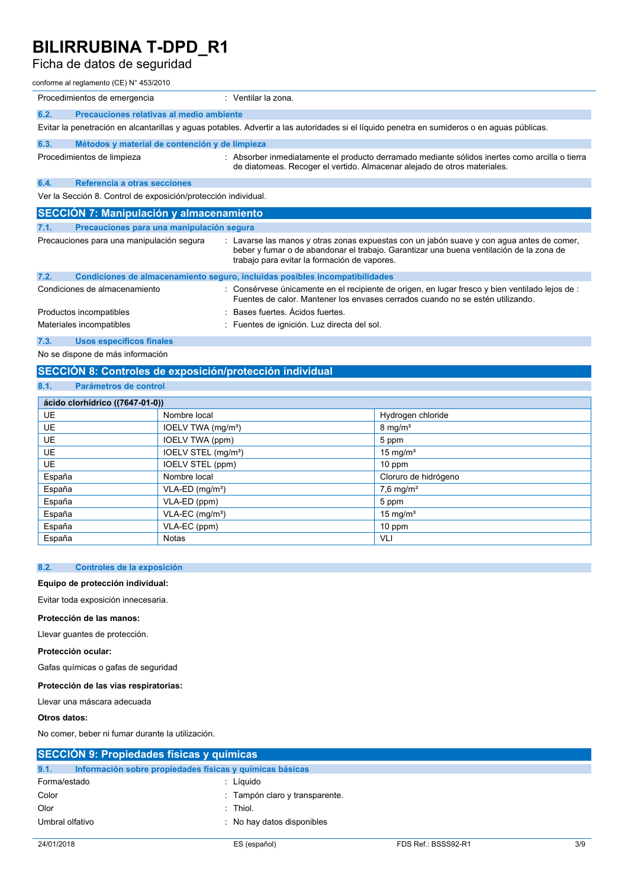## Ficha de datos de seguridad

#### conforme al reglamento (CE) N° 453/2010

| Procedimientos de emergencia                                   | : Ventilar la zona.                                                                                                                                                                                                                  |  |  |  |
|----------------------------------------------------------------|--------------------------------------------------------------------------------------------------------------------------------------------------------------------------------------------------------------------------------------|--|--|--|
| Precauciones relativas al medio ambiente<br>6.2.               |                                                                                                                                                                                                                                      |  |  |  |
|                                                                | Evitar la penetración en alcantarillas y aguas potables. Advertir a las autoridades si el líquido penetra en sumideros o en aguas públicas.                                                                                          |  |  |  |
| 6.3.<br>Métodos y material de contención y de limpieza         |                                                                                                                                                                                                                                      |  |  |  |
| Procedimientos de limpieza                                     | : Absorber inmediatamente el producto derramado mediante sólidos inertes como arcilla o tierra<br>de diatomeas. Recoger el vertido. Almacenar alejado de otros materiales.                                                           |  |  |  |
| Referencia a otras secciones<br>6.4.                           |                                                                                                                                                                                                                                      |  |  |  |
| Ver la Sección 8. Control de exposición/protección individual. |                                                                                                                                                                                                                                      |  |  |  |
| <b>SECCIÓN 7: Manipulación y almacenamiento</b>                |                                                                                                                                                                                                                                      |  |  |  |
| 7.1.<br>Precauciones para una manipulación segura              |                                                                                                                                                                                                                                      |  |  |  |
| Precauciones para una manipulación segura                      | : Lavarse las manos y otras zonas expuestas con un jabón suave y con agua antes de comer,<br>beber y fumar o de abandonar el trabajo. Garantizar una buena ventilación de la zona de<br>trabajo para evitar la formación de vapores. |  |  |  |
| 7.2.                                                           | Condiciones de almacenamiento seguro, incluidas posibles incompatibilidades                                                                                                                                                          |  |  |  |
| Condiciones de almacenamiento                                  | : Consérvese únicamente en el recipiente de origen, en lugar fresco y bien ventilado lejos de :<br>Fuentes de calor. Mantener los envases cerrados cuando no se estén utilizando.                                                    |  |  |  |
| Productos incompatibles                                        | Bases fuertes. Acidos fuertes.                                                                                                                                                                                                       |  |  |  |
| Materiales incompatibles                                       | : Fuentes de ignición. Luz directa del sol.                                                                                                                                                                                          |  |  |  |
| 7.3.<br><b>Usos específicos finales</b>                        |                                                                                                                                                                                                                                      |  |  |  |
| No se dispone de más información                               |                                                                                                                                                                                                                                      |  |  |  |

## **SECCIÓN 8: Controles de exposición/protección individual**

## **8.1. Parámetros de control**

| ácido clorhídrico ((7647-01-0)) |                                 |                         |  |  |
|---------------------------------|---------------------------------|-------------------------|--|--|
| <b>UE</b>                       | Nombre local                    | Hydrogen chloride       |  |  |
| <b>UE</b>                       | IOELV TWA (mg/m <sup>3</sup> )  | $8 \text{ mg/m}^3$      |  |  |
| <b>UE</b>                       | <b>IOELV TWA (ppm)</b>          | 5 ppm                   |  |  |
| <b>UE</b>                       | IOELV STEL (mg/m <sup>3</sup> ) | 15 mg/ $m3$             |  |  |
| <b>UE</b>                       | IOELV STEL (ppm)                | $10$ ppm                |  |  |
| España                          | Nombre local                    | Cloruro de hidrógeno    |  |  |
| España                          | $VLA-ED$ (mg/m <sup>3</sup> )   | $7,6$ mg/m <sup>3</sup> |  |  |
| España                          | VLA-ED (ppm)                    | 5 ppm                   |  |  |
| España                          | $VLA-EC$ (mg/m <sup>3</sup> )   | 15 mg/ $m3$             |  |  |
| España                          | VLA-EC (ppm)                    | 10 ppm                  |  |  |
| España                          | <b>Notas</b>                    | VLI                     |  |  |

### **8.2. Controles de la exposición**

### **Equipo de protección individual:**

Evitar toda exposición innecesaria.

#### **Protección de las manos:**

Llevar guantes de protección.

### **Protección ocular:**

Gafas químicas o gafas de seguridad

### **Protección de las vías respiratorias:**

Llevar una máscara adecuada

### **Otros datos:**

No comer, beber ni fumar durante la utilización.

| SECCIÓN 9: Propiedades físicas y químicas |                                                          |                     |     |
|-------------------------------------------|----------------------------------------------------------|---------------------|-----|
| 9.1.                                      | Información sobre propiedades físicas y químicas básicas |                     |     |
| Forma/estado                              | : Líquido                                                |                     |     |
| Color                                     | : Tampón claro y transparente.                           |                     |     |
| Olor                                      | $:$ Thiol.                                               |                     |     |
| Umbral olfativo                           | : No hay datos disponibles                               |                     |     |
|                                           |                                                          |                     |     |
| 24/01/2018                                | ES (español)                                             | FDS Ref.: BSSS92-R1 | 3/9 |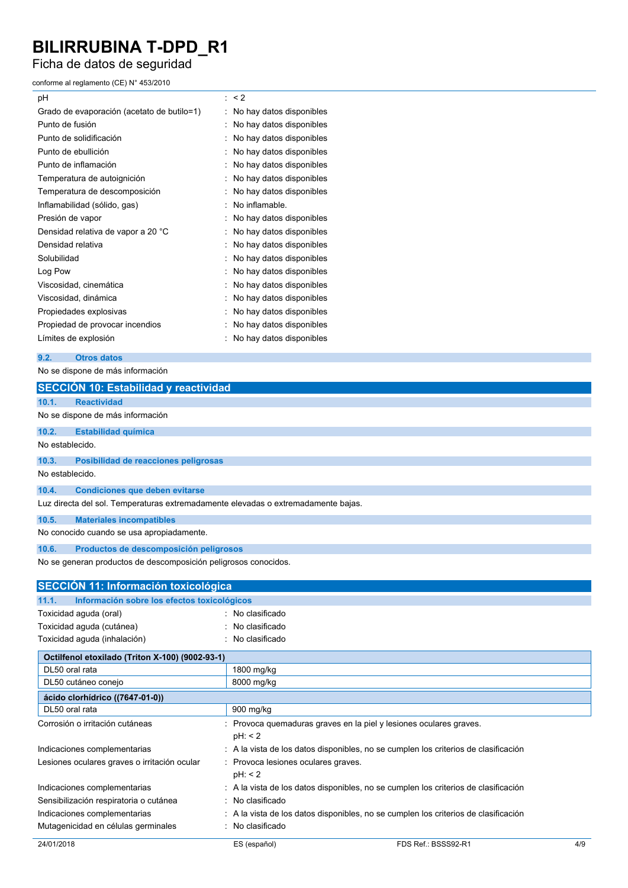# Ficha de datos de seguridad

conforme al reglamento (CE) N° 453/2010

| pH                                         | : < 2                    |
|--------------------------------------------|--------------------------|
| Grado de evaporación (acetato de butilo=1) | No hay datos disponibles |
| Punto de fusión                            | No hay datos disponibles |
| Punto de solidificación                    | No hay datos disponibles |
| Punto de ebullición                        | No hay datos disponibles |
| Punto de inflamación                       | No hay datos disponibles |
| Temperatura de autoignición                | No hay datos disponibles |
| Temperatura de descomposición              | No hay datos disponibles |
| Inflamabilidad (sólido, gas)               | No inflamable.           |
| Presión de vapor                           | No hay datos disponibles |
| Densidad relativa de vapor a 20 °C         | No hay datos disponibles |
| Densidad relativa                          | No hay datos disponibles |
| Solubilidad                                | No hay datos disponibles |
| Log Pow                                    | No hay datos disponibles |
| Viscosidad, cinemática                     | No hay datos disponibles |
| Viscosidad, dinámica                       | No hay datos disponibles |
| Propiedades explosivas                     | No hay datos disponibles |
| Propiedad de provocar incendios            | No hay datos disponibles |
| Límites de explosión                       | No hay datos disponibles |

#### **9.2. Otros datos**

No se dispone de más información

|                 | <b>SECCIÓN 10: Estabilidad y reactividad</b>                                      |
|-----------------|-----------------------------------------------------------------------------------|
| 10.1.           | <b>Reactividad</b>                                                                |
|                 | No se dispone de más información                                                  |
| 10.2.           | <b>Estabilidad química</b>                                                        |
| No establecido. |                                                                                   |
| 10.3.           | Posibilidad de reacciones peligrosas                                              |
| No establecido. |                                                                                   |
| 10.4.           | <b>Condiciones que deben evitarse</b>                                             |
|                 | Luz directa del sol. Temperaturas extremadamente elevadas o extremadamente bajas. |
| 10.5.           | <b>Materiales incompatibles</b>                                                   |
|                 | No conocido cuando se usa apropiadamente.                                         |
| 10.6.           | Productos de descomposición peligrosos                                            |
|                 | No se generan productos de descomposición peligrosos conocidos.                   |
|                 | SECCIÓN 11: Información toxicológica                                              |
| 44.4            | Información cobre los ofectos texicológicos                                       |

| 24/01/2018                                           | ES (español)                        | FDS Ref.: BSSS92-R1                                                                 | 4/9 |  |
|------------------------------------------------------|-------------------------------------|-------------------------------------------------------------------------------------|-----|--|
| Mutagenicidad en células germinales                  | : No clasificado                    |                                                                                     |     |  |
| Indicaciones complementarias                         |                                     | : A la vista de los datos disponibles, no se cumplen los criterios de clasificación |     |  |
| Sensibilización respiratoria o cutánea               | : No clasificado                    |                                                                                     |     |  |
| Indicaciones complementarias                         |                                     | : A la vista de los datos disponibles, no se cumplen los criterios de clasificación |     |  |
|                                                      | pH: 2                               |                                                                                     |     |  |
| Lesiones oculares graves o irritación ocular         | : Provoca lesiones oculares graves. |                                                                                     |     |  |
| Indicaciones complementarias                         |                                     | : A la vista de los datos disponibles, no se cumplen los criterios de clasificación |     |  |
|                                                      | pH: 2                               | : Provoca quemaduras graves en la piel y lesiones oculares graves.                  |     |  |
| Corrosión o irritación cutáneas                      |                                     |                                                                                     |     |  |
| DL50 oral rata                                       | 900 mg/kg                           |                                                                                     |     |  |
| ácido clorhídrico ((7647-01-0))                      |                                     |                                                                                     |     |  |
| DL50 cutáneo conejo                                  | 8000 mg/kg                          |                                                                                     |     |  |
| DL50 oral rata                                       | 1800 mg/kg                          |                                                                                     |     |  |
| Octilfenol etoxilado (Triton X-100) (9002-93-1)      |                                     |                                                                                     |     |  |
| Toxicidad aguda (inhalación)                         | : No clasificado                    |                                                                                     |     |  |
| Toxicidad aguda (cutánea)                            | : No clasificado                    |                                                                                     |     |  |
| Toxicidad aguda (oral)                               | : No clasificado                    |                                                                                     |     |  |
| Información sobre los efectos toxicológicos<br>11.1. |                                     |                                                                                     |     |  |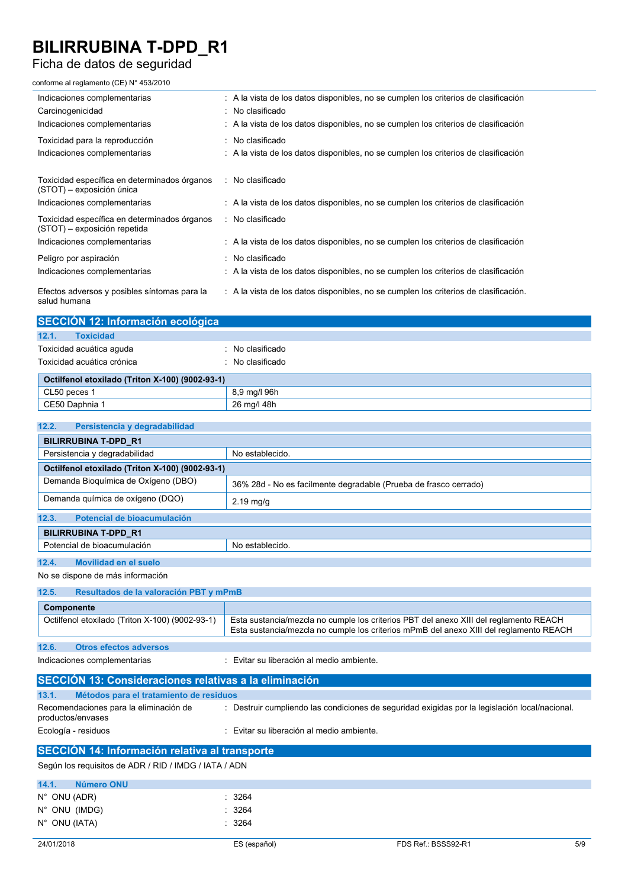## Ficha de datos de seguridad

conforme al reglamento (CE) N° 453/2010

| Indicaciones complementarias<br>Carcinogenicidad<br>Indicaciones complementarias                             | : A la vista de los datos disponibles, no se cumplen los criterios de clasificación<br>No clasificado<br>$\therefore$ A la vista de los datos disponibles, no se cumplen los criterios de clasificación |
|--------------------------------------------------------------------------------------------------------------|---------------------------------------------------------------------------------------------------------------------------------------------------------------------------------------------------------|
| Toxicidad para la reproducción<br>Indicaciones complementarias                                               | : No clasificado<br>$\therefore$ A la vista de los datos disponibles, no se cumplen los criterios de clasificación                                                                                      |
| Toxicidad específica en determinados órganos<br>(STOT) - exposición única                                    | : No clasificado                                                                                                                                                                                        |
| Indicaciones complementarias<br>Toxicidad específica en determinados órganos<br>(STOT) – exposición repetida | : A la vista de los datos disponibles, no se cumplen los criterios de clasificación<br>: No clasificado                                                                                                 |
| Indicaciones complementarias                                                                                 | : A la vista de los datos disponibles, no se cumplen los criterios de clasificación                                                                                                                     |
| Peligro por aspiración<br>Indicaciones complementarias                                                       | No clasificado<br>: A la vista de los datos disponibles, no se cumplen los criterios de clasificación                                                                                                   |
| Efectos adversos y posibles síntomas para la<br>salud humana                                                 | : A la vista de los datos disponibles, no se cumplen los criterios de clasificación.                                                                                                                    |

|       | SECCIÓN 12: Información ecológica |                  |
|-------|-----------------------------------|------------------|
| 12.1. | <b>Toxicidad</b>                  |                  |
|       | Toxicidad acuática aguda          | ∴ No clasificado |
|       | Toxicidad acuática crónica        | : No clasificado |

| Octilfenol etoxilado (Triton X-100) (9002-93-1) |              |  |
|-------------------------------------------------|--------------|--|
| $\sim$ CL50 peces $\sim$                        | 8.9 ma/l 96h |  |
| CE50 Daphnia 1                                  | 26 ma/l 48h  |  |

| 12.2.<br>Persistencia y degradabilidad                      |                                                                                                                                                                                 |  |  |  |
|-------------------------------------------------------------|---------------------------------------------------------------------------------------------------------------------------------------------------------------------------------|--|--|--|
| <b>BILIRRUBINA T-DPD R1</b>                                 |                                                                                                                                                                                 |  |  |  |
| Persistencia y degradabilidad                               | No establecido.                                                                                                                                                                 |  |  |  |
| Octilfenol etoxilado (Triton X-100) (9002-93-1)             |                                                                                                                                                                                 |  |  |  |
| Demanda Bioquímica de Oxígeno (DBO)                         | 36% 28d - No es facilmente degradable (Prueba de frasco cerrado)                                                                                                                |  |  |  |
| Demanda química de oxígeno (DQO)                            | $2.19$ mg/g                                                                                                                                                                     |  |  |  |
| Potencial de bioacumulación<br>12.3.                        |                                                                                                                                                                                 |  |  |  |
| <b>BILIRRUBINA T-DPD R1</b>                                 |                                                                                                                                                                                 |  |  |  |
| Potencial de bioacumulación                                 | No establecido.                                                                                                                                                                 |  |  |  |
| 12.4.<br>Movilidad en el suelo                              |                                                                                                                                                                                 |  |  |  |
| No se dispone de más información                            |                                                                                                                                                                                 |  |  |  |
| 12.5.<br>Resultados de la valoración PBT y mPmB             |                                                                                                                                                                                 |  |  |  |
| Componente                                                  |                                                                                                                                                                                 |  |  |  |
| Octilfenol etoxilado (Triton X-100) (9002-93-1)             | Esta sustancia/mezcla no cumple los criterios PBT del anexo XIII del reglamento REACH<br>Esta sustancia/mezcla no cumple los criterios mPmB del anexo XIII del reglamento REACH |  |  |  |
| 12.6.<br><b>Otros efectos adversos</b>                      |                                                                                                                                                                                 |  |  |  |
| Indicaciones complementarias                                | : Evitar su liberación al medio ambiente.                                                                                                                                       |  |  |  |
| SECCIÓN 13: Consideraciones relativas a la eliminación      |                                                                                                                                                                                 |  |  |  |
| 13.1.<br>Métodos para el tratamiento de residuos            |                                                                                                                                                                                 |  |  |  |
| Recomendaciones para la eliminación de<br>productos/envases | : Destruir cumpliendo las condiciones de seguridad exigidas por la legislación local/nacional.                                                                                  |  |  |  |
| Ecología - residuos                                         | : Evitar su liberación al medio ambiente.                                                                                                                                       |  |  |  |
| <b>SECCIÓN 14: Información relativa al transporte</b>       |                                                                                                                                                                                 |  |  |  |
| Según los requisitos de ADR / RID / IMDG / IATA / ADN       |                                                                                                                                                                                 |  |  |  |
| 14.1.<br>Número ONU                                         |                                                                                                                                                                                 |  |  |  |
|                                                             |                                                                                                                                                                                 |  |  |  |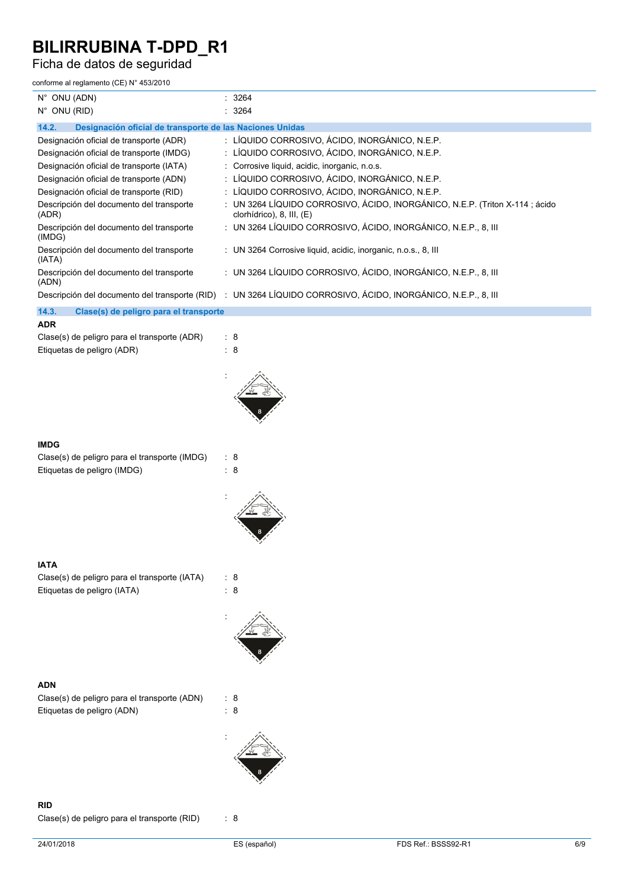Ficha de datos de seguridad

| conforme al reglamento (CE) N° 453/2010                                    |                                                                                                               |
|----------------------------------------------------------------------------|---------------------------------------------------------------------------------------------------------------|
| $N^{\circ}$ ONU (ADN)                                                      | 3264                                                                                                          |
| $N^{\circ}$ ONU (RID)                                                      | 3264                                                                                                          |
| 14.2.<br>Designación oficial de transporte de las Naciones Unidas          |                                                                                                               |
| Designación oficial de transporte (ADR)                                    | : LÍQUIDO CORROSIVO, ÁCIDO, INORGÁNICO, N.E.P.                                                                |
| Designación oficial de transporte (IMDG)                                   | : LÍQUIDO CORROSIVO, ÁCIDO, INORGÁNICO, N.E.P.                                                                |
| Designación oficial de transporte (IATA)                                   | Corrosive liquid, acidic, inorganic, n.o.s.                                                                   |
| Designación oficial de transporte (ADN)                                    | : LÍQUIDO CORROSIVO, ÁCIDO, INORGÁNICO, N.E.P.                                                                |
| Designación oficial de transporte (RID)                                    | : LÍQUIDO CORROSIVO, ÁCIDO, INORGÁNICO, N.E.P.                                                                |
| Descripción del documento del transporte<br>(ADR)                          | : UN 3264 LÍQUIDO CORROSIVO, ÁCIDO, INORGÁNICO, N.E.P. (Triton X-114 ; ácido<br>clorhídrico), 8, III, (E)     |
| Descripción del documento del transporte<br>(IMDG)                         | : UN 3264 LÍQUIDO CORROSIVO, ÁCIDO, INORGÁNICO, N.E.P., 8, III                                                |
| Descripción del documento del transporte<br>(IATA)                         | : UN 3264 Corrosive liquid, acidic, inorganic, n.o.s., 8, III                                                 |
| Descripción del documento del transporte<br>(ADN)                          | : UN 3264 LÍQUIDO CORROSIVO, ÁCIDO, INORGÁNICO, N.E.P., 8, III                                                |
|                                                                            | Descripción del documento del transporte (RID) : UN 3264 LÍQUIDO CORROSIVO, ÁCIDO, INORGÁNICO, N.E.P., 8, III |
| 14.3.<br>Clase(s) de peligro para el transporte                            |                                                                                                               |
| <b>ADR</b>                                                                 |                                                                                                               |
| Clase(s) de peligro para el transporte (ADR)<br>Etiquetas de peligro (ADR) | : 8<br>8<br>÷                                                                                                 |
|                                                                            |                                                                                                               |
|                                                                            |                                                                                                               |
| <b>IMDG</b>                                                                |                                                                                                               |
| Clase(s) de peligro para el transporte (IMDG)                              | : 8                                                                                                           |
| Etiquetas de peligro (IMDG)                                                | $\therefore$ 8                                                                                                |
|                                                                            |                                                                                                               |
|                                                                            |                                                                                                               |
| <b>IATA</b>                                                                |                                                                                                               |
| Clase(s) de peligro para el transporte (IATA)                              | : 8                                                                                                           |
| Etiquetas de peligro (IATA)                                                | 8<br>÷                                                                                                        |
|                                                                            |                                                                                                               |
| <b>ADN</b>                                                                 |                                                                                                               |
| Clase(s) de peligro para el transporte (ADN)                               | $\therefore$ 8                                                                                                |
| Etiquetas de peligro (ADN)                                                 | $\therefore$ 8                                                                                                |
|                                                                            |                                                                                                               |
|                                                                            |                                                                                                               |

**RID**

Clase(s) de peligro para el transporte (RID) : 8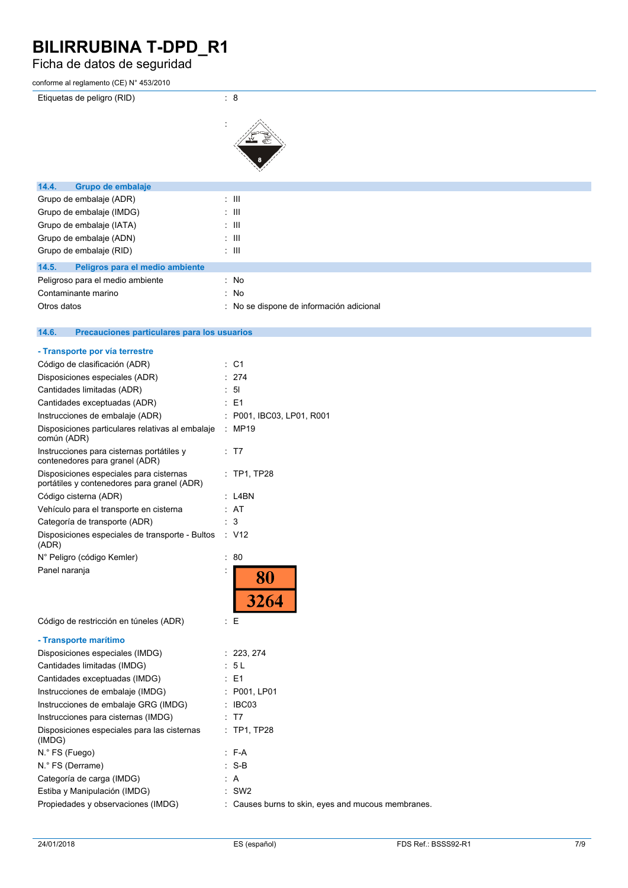# Ficha de datos de seguridad

| conforme al reglamento (CE) N° 453/2010                                                |                                                    |
|----------------------------------------------------------------------------------------|----------------------------------------------------|
| Etiquetas de peligro (RID)                                                             | $\therefore$ 8                                     |
|                                                                                        |                                                    |
|                                                                                        |                                                    |
|                                                                                        |                                                    |
|                                                                                        |                                                    |
|                                                                                        |                                                    |
| 14.4.<br>Grupo de embalaje                                                             |                                                    |
| Grupo de embalaje (ADR)                                                                | $\pm$ 111                                          |
| Grupo de embalaje (IMDG)                                                               | $\pm$ 111                                          |
| Grupo de embalaje (IATA)                                                               | : III                                              |
| Grupo de embalaje (ADN)                                                                | $\pm$ 111                                          |
| Grupo de embalaje (RID)                                                                | $\pm$ 111                                          |
| 14.5.<br>Peligros para el medio ambiente                                               |                                                    |
| Peligroso para el medio ambiente                                                       | : No                                               |
| Contaminante marino                                                                    | : No                                               |
| Otros datos                                                                            | : No se dispone de información adicional           |
|                                                                                        |                                                    |
| 14.6.<br>Precauciones particulares para los usuarios                                   |                                                    |
| - Transporte por vía terrestre                                                         |                                                    |
| Código de clasificación (ADR)                                                          | : C1                                               |
| Disposiciones especiales (ADR)                                                         | : 274                                              |
| Cantidades limitadas (ADR)                                                             | : 51                                               |
| Cantidades exceptuadas (ADR)                                                           | : E1                                               |
| Instrucciones de embalaje (ADR)                                                        | : P001, IBC03, LP01, R001                          |
| Disposiciones particulares relativas al embalaje<br>común (ADR)                        | : MP19                                             |
| Instrucciones para cisternas portátiles y<br>contenedores para granel (ADR)            | $\therefore$ T7                                    |
| Disposiciones especiales para cisternas<br>portátiles y contenedores para granel (ADR) | : TP1, TP28                                        |
| Código cisterna (ADR)                                                                  | $:$ L4BN                                           |
| Vehículo para el transporte en cisterna                                                | : AT                                               |
| Categoría de transporte (ADR)                                                          | : 3                                                |
| Disposiciones especiales de transporte - Bultos<br>(ADR)                               | $\therefore$ V12                                   |
| N° Peligro (código Kemler)                                                             | : 80                                               |
| Panel naranja                                                                          | 80                                                 |
|                                                                                        |                                                    |
|                                                                                        | 3264                                               |
|                                                                                        |                                                    |
| Código de restricción en túneles (ADR)                                                 | $\mathbf{E}$                                       |
| - Transporte marítimo                                                                  |                                                    |
| Disposiciones especiales (IMDG)                                                        | : 223, 274                                         |
| Cantidades limitadas (IMDG)                                                            | : 5 L                                              |
| Cantidades exceptuadas (IMDG)                                                          | $\therefore$ E1                                    |
| Instrucciones de embalaje (IMDG)                                                       | : P001, LP01                                       |
| Instrucciones de embalaje GRG (IMDG)                                                   | : IBCO3                                            |
| Instrucciones para cisternas (IMDG)                                                    | $\div$ T7                                          |
| Disposiciones especiales para las cisternas<br>(IMDG)                                  | : TP1, TP28                                        |
| N.º FS (Fuego)                                                                         | $: F-A$                                            |
| N.º FS (Derrame)                                                                       | $: S-B$                                            |
| Categoría de carga (IMDG)                                                              | : A                                                |
| Estiba y Manipulación (IMDG)                                                           | $:$ SW2                                            |
| Propiedades y observaciones (IMDG)                                                     | : Causes burns to skin, eyes and mucous membranes. |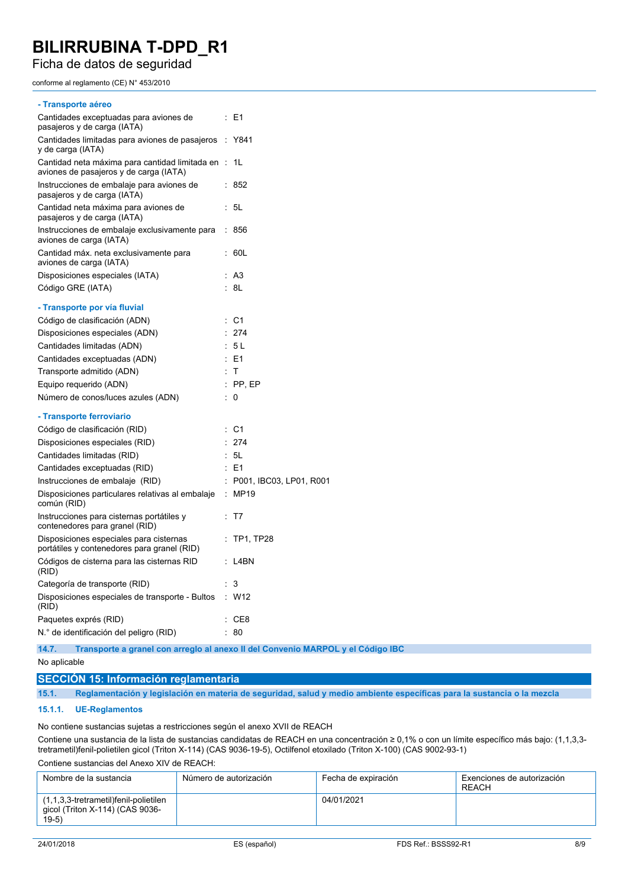Ficha de datos de seguridad

conforme al reglamento (CE) N° 453/2010

|           | $\therefore$ E1         |
|-----------|-------------------------|
| $\sim$    | Y841                    |
| $\cdot$ : | 1L                      |
| t.        | 852                     |
| t.        | 5L                      |
|           | 856                     |
|           | 60L                     |
|           | A3                      |
|           | : 8L                    |
|           |                         |
|           | C <sub>1</sub>          |
|           | 274                     |
|           | 5L                      |
|           | E <sub>1</sub>          |
|           | $\top$                  |
|           | PP, EP                  |
| t         | $\Omega$                |
|           |                         |
|           | - C1                    |
|           | 274                     |
|           | 5L                      |
|           | E <sub>1</sub>          |
|           | P001, IBC03, LP01, R001 |
|           | <b>MP19</b>             |
|           | T7                      |
|           | <b>TP1, TP28</b>        |
|           | L4BN                    |
|           | 3                       |
|           | $:$ W12                 |
|           | CE8                     |
|           | 80                      |
|           | ÷<br>÷                  |

**14.7. Transporte a granel con arreglo al anexo II del Convenio MARPOL y el Código IBC**

#### No aplicable

### **SECCIÓN 15: Información reglamentaria**

15.1. Reglamentación y legislación en materia de seguridad, salud y medio ambiente específicas para la sustancia o la mezcla

#### **15.1.1. UE-Reglamentos**

No contiene sustancias sujetas a restricciones según el anexo XVII de REACH

Contiene una sustancia de la lista de sustancias candidatas de REACH en una concentración ≥ 0,1% o con un límite específico más bajo: (1,1,3,3 tretrametil)fenil-polietilen gicol (Triton X-114) (CAS 9036-19-5), Octilfenol etoxilado (Triton X-100) (CAS 9002-93-1)

Contiene sustancias del Anexo XIV de REACH:

| Nombre de la sustancia                                                              | Número de autorización | Fecha de expiración | Exenciones de autorización<br>RFACH |
|-------------------------------------------------------------------------------------|------------------------|---------------------|-------------------------------------|
| (1,1,3,3-tretrametil)fenil-polietilen<br>gicol (Triton X-114) (CAS 9036-<br>$19-5)$ |                        | 04/01/2021          |                                     |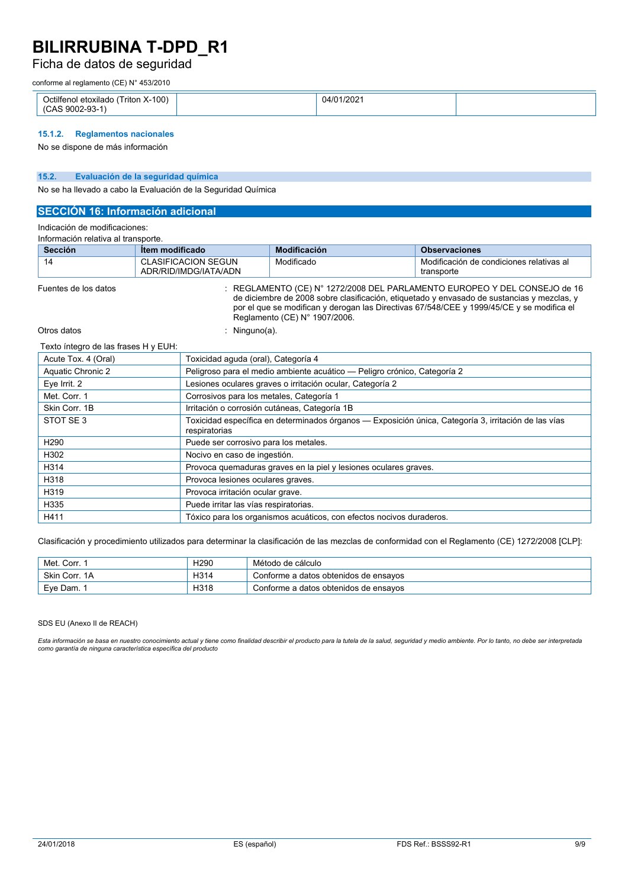## Ficha de datos de seguridad

conforme al reglamento (CE) N° 453/2010

| Triton X-100)<br>$\cdots$<br>. )ctilter<br>etoxilado<br>$\sim$<br>$\sim$ 0000 $\sim$<br>n- 1<br>$\sim$ $\sim$<br>м н<br>J. | 1/2021<br>04/0 |  |
|----------------------------------------------------------------------------------------------------------------------------|----------------|--|

### **15.1.2. Reglamentos nacionales**

No se dispone de más información

### **15.2. Evaluación de la seguridad química**

No se ha llevado a cabo la Evaluación de la Seguridad Química

### **SECCIÓN 16: Información adicional**

Indicación de modificaciones:

| Información relativa al transporte. |                                                     |                               |                                                                                                                                                                                                                                                                                 |  |  |
|-------------------------------------|-----------------------------------------------------|-------------------------------|---------------------------------------------------------------------------------------------------------------------------------------------------------------------------------------------------------------------------------------------------------------------------------|--|--|
| <b>Sección</b>                      | <b>Item modificado</b>                              | <b>Modificación</b>           | <b>Observaciones</b>                                                                                                                                                                                                                                                            |  |  |
| 14                                  | <b>CLASIFICACION SEGUN</b><br>ADR/RID/IMDG/IATA/ADN | Modificado                    | Modificación de condiciones relativas al<br>transporte                                                                                                                                                                                                                          |  |  |
| Fuentes de los datos                |                                                     | Reglamento (CE) N° 1907/2006. | $\therefore$ REGLAMENTO (CE) N° 1272/2008 DEL PARLAMENTO EUROPEO Y DEL CONSEJO de 16<br>de diciembre de 2008 sobre clasificación, etiquetado y envasado de sustancias y mezclas, y<br>por el que se modifican y derogan las Directivas 67/548/CEE y 1999/45/CE y se modifica el |  |  |

Otros datos : Ninguno(a).

#### Texto íntegro de las frases H y EUH:

| Acute Tox. 4 (Oral)      | Toxicidad aguda (oral), Categoría 4                                                                                   |
|--------------------------|-----------------------------------------------------------------------------------------------------------------------|
| <b>Aquatic Chronic 2</b> | Peligroso para el medio ambiente acuático — Peligro crónico, Categoría 2                                              |
| Eye Irrit. 2             | Lesiones oculares graves o irritación ocular, Categoría 2                                                             |
| Met. Corr. 1             | Corrosivos para los metales, Categoría 1                                                                              |
| Skin Corr. 1B            | Irritación o corrosión cutáneas, Categoría 1B                                                                         |
| STOT SE3                 | Toxicidad específica en determinados órganos — Exposición única, Categoría 3, irritación de las vías<br>respiratorias |
| H <sub>290</sub>         | Puede ser corrosivo para los metales.                                                                                 |
| H302                     | Nocivo en caso de ingestión.                                                                                          |
| H314                     | Provoca quemaduras graves en la piel y lesiones oculares graves.                                                      |
| H318                     | Provoca lesiones oculares graves.                                                                                     |
| H319                     | Provoca irritación ocular grave.                                                                                      |
| H335                     | Puede irritar las vías respiratorias.                                                                                 |
| H411                     | Tóxico para los organismos acuáticos, con efectos nocivos duraderos.                                                  |

Clasificación y procedimiento utilizados para determinar la clasificación de las mezclas de conformidad con el Reglamento (CE) 1272/2008 [CLP]:

| Met. Corr.    | H <sub>290</sub> | Método de cálculo                     |
|---------------|------------------|---------------------------------------|
| Skin Corr, 1A | H314             | Conforme a datos obtenidos de ensayos |
| Eve Dam.      | H318             | Conforme a datos obtenidos de ensavos |

#### SDS EU (Anexo II de REACH)

Esta información se basa en nuestro conocimiento actual y tiene como finalidad describir el producto para la tutela de la salud, seguridad y medio ambiente. Por lo tanto, no debe ser interpretada<br>como garantía de ninguna c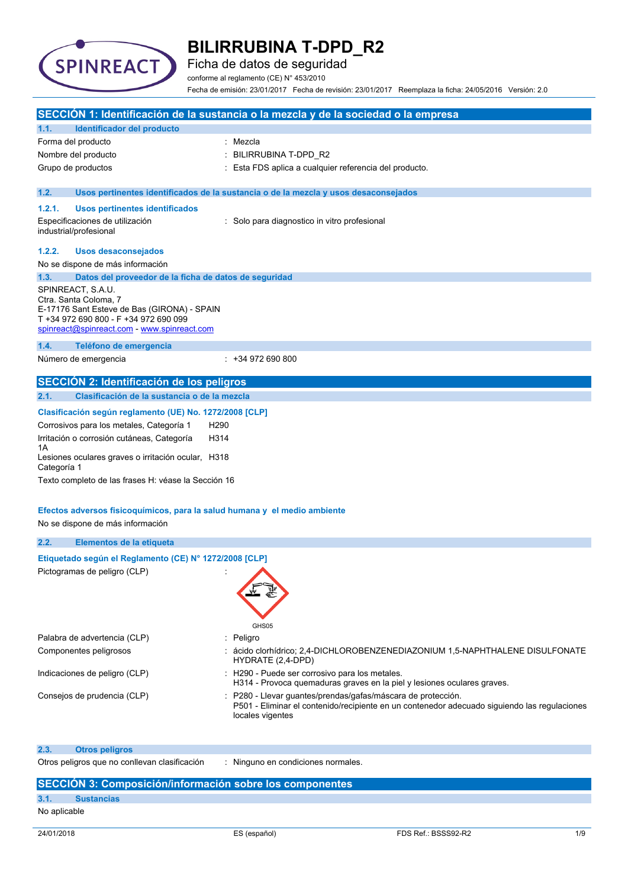

Ficha de datos de seguridad

conforme al reglamento (CE) N° 453/2010

Fecha de emisión: 23/01/2017 Fecha de revisión: 23/01/2017 Reemplaza la ficha: 24/05/2016 Versión: 2.0

|                   |                                                                                                                                                                                   | SECCIÓN 1: Identificación de la sustancia o la mezcla y de la sociedad o la empresa                                                                                            |
|-------------------|-----------------------------------------------------------------------------------------------------------------------------------------------------------------------------------|--------------------------------------------------------------------------------------------------------------------------------------------------------------------------------|
| 1.1.              | Identificador del producto                                                                                                                                                        |                                                                                                                                                                                |
|                   | Forma del producto                                                                                                                                                                | : Mezcla                                                                                                                                                                       |
|                   | Nombre del producto                                                                                                                                                               | BILIRRUBINA T-DPD_R2                                                                                                                                                           |
|                   | Grupo de productos                                                                                                                                                                | Esta FDS aplica a cualquier referencia del producto.                                                                                                                           |
| 1.2.              |                                                                                                                                                                                   | Usos pertinentes identificados de la sustancia o de la mezcla y usos desaconsejados                                                                                            |
| 1.2.1.            | <b>Usos pertinentes identificados</b>                                                                                                                                             |                                                                                                                                                                                |
|                   | Especificaciones de utilización<br>industrial/profesional                                                                                                                         | : Solo para diagnostico in vitro profesional                                                                                                                                   |
| 1.2.2.            | <b>Usos desaconsejados</b>                                                                                                                                                        |                                                                                                                                                                                |
|                   | No se dispone de más información                                                                                                                                                  |                                                                                                                                                                                |
| 1.3.              | Datos del proveedor de la ficha de datos de seguridad                                                                                                                             |                                                                                                                                                                                |
|                   | SPINREACT, S.A.U.<br>Ctra. Santa Coloma, 7<br>E-17176 Sant Esteve de Bas (GIRONA) - SPAIN<br>T +34 972 690 800 - F +34 972 690 099<br>spinreact@spinreact.com - www.spinreact.com |                                                                                                                                                                                |
| 1.4.              | Teléfono de emergencia                                                                                                                                                            |                                                                                                                                                                                |
|                   | Número de emergencia                                                                                                                                                              | $: +34972690800$                                                                                                                                                               |
|                   | SECCIÓN 2: Identificación de los peligros                                                                                                                                         |                                                                                                                                                                                |
| 2.1.              | Clasificación de la sustancia o de la mezcla                                                                                                                                      |                                                                                                                                                                                |
|                   | Clasificación según reglamento (UE) No. 1272/2008 [CLP]                                                                                                                           |                                                                                                                                                                                |
|                   | Corrosivos para los metales, Categoría 1<br>H <sub>290</sub>                                                                                                                      |                                                                                                                                                                                |
|                   | Irritación o corrosión cutáneas, Categoría<br>H314                                                                                                                                |                                                                                                                                                                                |
| 1А<br>Categoría 1 | Lesiones oculares graves o irritación ocular, H318                                                                                                                                |                                                                                                                                                                                |
|                   | Texto completo de las frases H: véase la Sección 16                                                                                                                               |                                                                                                                                                                                |
|                   | Efectos adversos fisicoquímicos, para la salud humana y el medio ambiente                                                                                                         |                                                                                                                                                                                |
|                   | No se dispone de más información                                                                                                                                                  |                                                                                                                                                                                |
|                   |                                                                                                                                                                                   |                                                                                                                                                                                |
| 2.2.              | Elementos de la etiqueta                                                                                                                                                          |                                                                                                                                                                                |
|                   | Etiquetado según el Reglamento (CE) Nº 1272/2008 [CLP]                                                                                                                            |                                                                                                                                                                                |
|                   | Pictogramas de peligro (CLP)                                                                                                                                                      | GHS05                                                                                                                                                                          |
|                   | Palabra de advertencia (CLP)                                                                                                                                                      | : Peligro                                                                                                                                                                      |
|                   | Componentes peligrosos                                                                                                                                                            | : ácido clorhídrico; 2,4-DICHLOROBENZENEDIAZONIUM 1,5-NAPHTHALENE DISULFONATE<br>HYDRATE (2,4-DPD)                                                                             |
|                   | Indicaciones de peligro (CLP)                                                                                                                                                     | : H290 - Puede ser corrosivo para los metales.<br>H314 - Provoca quemaduras graves en la piel y lesiones oculares graves.                                                      |
|                   | Consejos de prudencia (CLP)                                                                                                                                                       | P280 - Llevar quantes/prendas/gafas/máscara de protección.<br>P501 - Eliminar el contenido/recipiente en un contenedor adecuado siguiendo las regulaciones<br>locales vigentes |
| 2.3.              | <b>Otros peligros</b>                                                                                                                                                             |                                                                                                                                                                                |
|                   | Otros peligros que no conllevan clasificación                                                                                                                                     | Ninguno en condiciones normales.                                                                                                                                               |

## **SECCIÓN 3: Composición/información sobre los componentes**

### **3.1. Sustancias**

No aplicable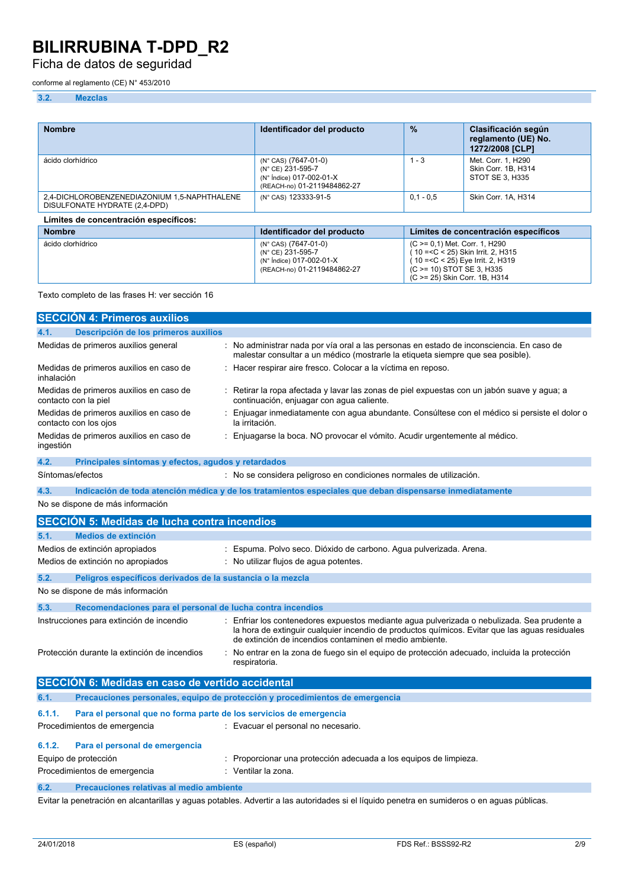## Ficha de datos de seguridad

conforme al reglamento (CE) N° 453/2010

### **3.2. Mezclas**

| <b>Nombre</b>                                                                 | Identificador del producto                                                                           | $\%$        | Clasificación según<br>reglamento (UE) No.<br>1272/2008 [CLP]                                                                                                             |
|-------------------------------------------------------------------------------|------------------------------------------------------------------------------------------------------|-------------|---------------------------------------------------------------------------------------------------------------------------------------------------------------------------|
| ácido clorhídrico                                                             | (N° CAS) (7647-01-0)<br>(N° CE) 231-595-7<br>(N° Índice) 017-002-01-X<br>(REACH-no) 01-2119484862-27 | $1 - 3$     | Met. Corr. 1, H290<br>Skin Corr. 1B. H314<br>STOT SE 3, H335                                                                                                              |
| 2,4-DICHLOROBENZENEDIAZONIUM 1,5-NAPHTHALENE<br>DISULFONATE HYDRATE (2,4-DPD) | (N° CAS) 123333-91-5                                                                                 | $0.1 - 0.5$ | Skin Corr. 1A. H314                                                                                                                                                       |
| Límites de concentración específicos:                                         |                                                                                                      |             |                                                                                                                                                                           |
| <b>Nombre</b>                                                                 | Identificador del producto                                                                           |             | Límites de concentración específicos                                                                                                                                      |
| ácido clorhídrico                                                             | (N° CAS) (7647-01-0)<br>(N° CE) 231-595-7<br>(N° Índice) 017-002-01-X<br>(REACH-no) 01-2119484862-27 |             | (C >= 0,1) Met. Corr. 1, H290<br>(10 = < C < 25) Skin Irrit, 2, H315<br>(10 = < C < 25) Eye Irrit. 2, H319<br>(C > = 10) STOT SE 3, H335<br>(C >= 25) Skin Corr. 1B, H314 |

#### Texto completo de las frases H: ver sección 16

|            | <b>SECCIÓN 4: Primeros auxilios</b>                                |                                                                                                                                                                                                                                                        |
|------------|--------------------------------------------------------------------|--------------------------------------------------------------------------------------------------------------------------------------------------------------------------------------------------------------------------------------------------------|
| 4.1.       | Descripción de los primeros auxilios                               |                                                                                                                                                                                                                                                        |
|            | Medidas de primeros auxilios general                               | : No administrar nada por vía oral a las personas en estado de inconsciencia. En caso de<br>malestar consultar a un médico (mostrarle la etiqueta siempre que sea posible).                                                                            |
| inhalación | Medidas de primeros auxilios en caso de                            | Hacer respirar aire fresco. Colocar a la víctima en reposo.                                                                                                                                                                                            |
|            | Medidas de primeros auxilios en caso de<br>contacto con la piel    | : Retirar la ropa afectada y lavar las zonas de piel expuestas con un jabón suave y agua; a<br>continuación, enjuagar con agua caliente.                                                                                                               |
|            | Medidas de primeros auxilios en caso de<br>contacto con los ojos   | Enjuagar inmediatamente con agua abundante. Consúltese con el médico si persiste el dolor o<br>la irritación.                                                                                                                                          |
| ingestión  | Medidas de primeros auxilios en caso de                            | : Enjuagarse la boca. NO provocar el vómito. Acudir urgentemente al médico.                                                                                                                                                                            |
| 4.2.       | Principales síntomas y efectos, agudos y retardados                |                                                                                                                                                                                                                                                        |
|            | Síntomas/efectos                                                   | : No se considera peligroso en condiciones normales de utilización.                                                                                                                                                                                    |
| 4.3.       |                                                                    | Indicación de toda atención médica y de los tratamientos especiales que deban dispensarse inmediatamente                                                                                                                                               |
|            | No se dispone de más información                                   |                                                                                                                                                                                                                                                        |
|            | <b>SECCIÓN 5: Medidas de lucha contra incendios</b>                |                                                                                                                                                                                                                                                        |
| 5.1.       | <b>Medios de extinción</b>                                         |                                                                                                                                                                                                                                                        |
|            | Medios de extinción apropiados                                     | Espuma. Polvo seco. Dióxido de carbono. Agua pulverizada. Arena.                                                                                                                                                                                       |
|            | Medios de extinción no apropiados                                  | : No utilizar flujos de agua potentes.                                                                                                                                                                                                                 |
| 5.2.       | Peligros específicos derivados de la sustancia o la mezcla         |                                                                                                                                                                                                                                                        |
|            | No se dispone de más información                                   |                                                                                                                                                                                                                                                        |
| 5.3.       | Recomendaciones para el personal de lucha contra incendios         |                                                                                                                                                                                                                                                        |
|            | Instrucciones para extinción de incendio                           | Enfriar los contenedores expuestos mediante agua pulverizada o nebulizada. Sea prudente a<br>la hora de extinguir cualquier incendio de productos químicos. Evitar que las aguas residuales<br>de extinción de incendios contaminen el medio ambiente. |
|            | Protección durante la extinción de incendios                       | : No entrar en la zona de fuego sin el equipo de protección adecuado, incluida la protección<br>respiratoria.                                                                                                                                          |
|            | <b>SECCIÓN 6: Medidas en caso de vertido accidental</b>            |                                                                                                                                                                                                                                                        |
| 6.1.       |                                                                    | Precauciones personales, equipo de protección y procedimientos de emergencia                                                                                                                                                                           |
| 6.1.1.     | Para el personal que no forma parte de los servicios de emergencia |                                                                                                                                                                                                                                                        |
|            | Procedimientos de emergencia                                       | : Evacuar el personal no necesario.                                                                                                                                                                                                                    |
| 6.1.2.     | Para el personal de emergencia                                     |                                                                                                                                                                                                                                                        |
|            | Equipo de protección                                               | Proporcionar una protección adecuada a los equipos de limpieza.                                                                                                                                                                                        |
|            | Procedimientos de emergencia                                       | Ventilar la zona.                                                                                                                                                                                                                                      |
| 6.2.       | Precauciones relativas al medio ambiente                           |                                                                                                                                                                                                                                                        |
|            |                                                                    |                                                                                                                                                                                                                                                        |

Evitar la penetración en alcantarillas y aguas potables. Advertir a las autoridades si el líquido penetra en sumideros o en aguas públicas.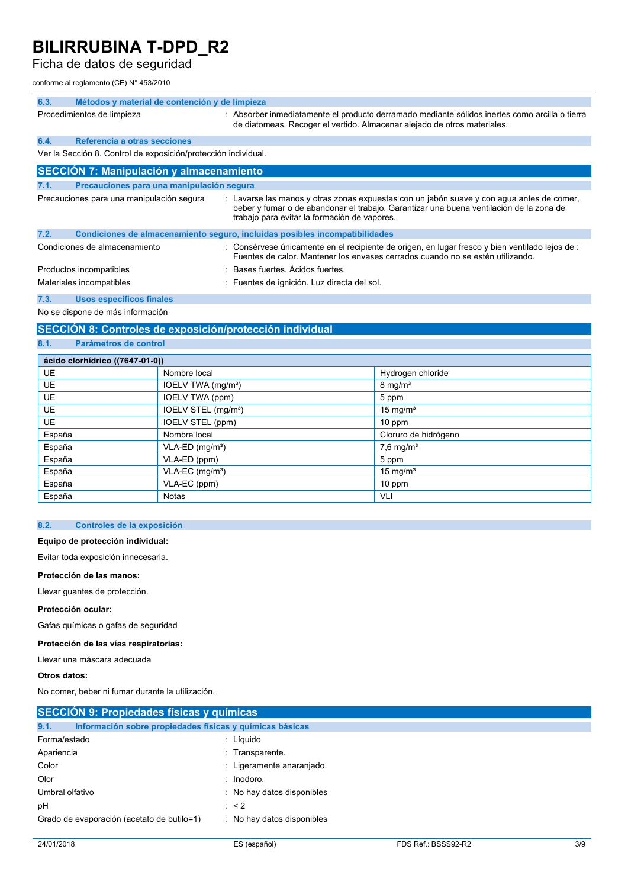## Ficha de datos de seguridad

conforme al reglamento (CE) N° 453/2010

| 6.3. | Métodos y material de contención y de limpieza                 |                                                                                                                                                                                                                                      |  |
|------|----------------------------------------------------------------|--------------------------------------------------------------------------------------------------------------------------------------------------------------------------------------------------------------------------------------|--|
|      | Procedimientos de limpieza                                     | : Absorber inmediatamente el producto derramado mediante sólidos inertes como arcilla o tierra<br>de diatomeas. Recoger el vertido. Almacenar alejado de otros materiales.                                                           |  |
| 6.4. | Referencia a otras secciones                                   |                                                                                                                                                                                                                                      |  |
|      | Ver la Sección 8. Control de exposición/protección individual. |                                                                                                                                                                                                                                      |  |
|      | <b>SECCIÓN 7: Manipulación y almacenamiento</b>                |                                                                                                                                                                                                                                      |  |
| 7.1. | Precauciones para una manipulación segura                      |                                                                                                                                                                                                                                      |  |
|      | Precauciones para una manipulación segura                      | : Lavarse las manos y otras zonas expuestas con un jabón suave y con agua antes de comer,<br>beber y fumar o de abandonar el trabajo. Garantizar una buena ventilación de la zona de<br>trabajo para evitar la formación de vapores. |  |
| 7.2. |                                                                | Condiciones de almacenamiento seguro, incluidas posibles incompatibilidades                                                                                                                                                          |  |
|      | Condiciones de almacenamiento                                  | : Consérvese únicamente en el recipiente de origen, en lugar fresco y bien ventilado lejos de :<br>Fuentes de calor. Mantener los envases cerrados cuando no se estén utilizando.                                                    |  |
|      | Productos incompatibles                                        | : Bases fuertes. Acidos fuertes.                                                                                                                                                                                                     |  |
|      | Materiales incompatibles                                       | : Fuentes de ignición. Luz directa del sol.                                                                                                                                                                                          |  |

**7.3. Usos específicos finales**

No se dispone de más información

### **SECCIÓN 8: Controles de exposición/protección individual**

**8.1. Parámetros de control**

| ácido clorhídrico ((7647-01-0)) |                                 |                         |  |  |
|---------------------------------|---------------------------------|-------------------------|--|--|
| <b>UE</b>                       | Nombre local                    | Hydrogen chloride       |  |  |
| <b>UE</b>                       | IOELV TWA (mg/m <sup>3</sup> )  | $8 \text{ mg/m}^3$      |  |  |
| <b>UE</b>                       | <b>IOELV TWA (ppm)</b>          | 5 ppm                   |  |  |
| <b>UE</b>                       | IOELV STEL (mg/m <sup>3</sup> ) | 15 mg/ $m3$             |  |  |
| <b>UE</b>                       | IOELV STEL (ppm)                | $10$ ppm                |  |  |
| España                          | Nombre local                    | Cloruro de hidrógeno    |  |  |
| España                          | $VLA-ED$ (mg/m <sup>3</sup> )   | $7,6$ mg/m <sup>3</sup> |  |  |
| España                          | VLA-ED (ppm)                    | 5 ppm                   |  |  |
| España                          | $VLA-EC$ (mg/m <sup>3</sup> )   | 15 mg/ $m3$             |  |  |
| España                          | VLA-EC (ppm)                    | 10 ppm                  |  |  |
| España                          | <b>Notas</b>                    | VLI                     |  |  |

### **8.2. Controles de la exposición**

#### **Equipo de protección individual:**

Evitar toda exposición innecesaria.

#### **Protección de las manos:**

Llevar guantes de protección.

#### **Protección ocular:**

Gafas químicas o gafas de seguridad

#### **Protección de las vías respiratorias:**

Llevar una máscara adecuada

**Otros datos:**

No comer, beber ni fumar durante la utilización.

| <b>SECCIÓN 9: Propiedades físicas y químicas</b>                 |                            |  |
|------------------------------------------------------------------|----------------------------|--|
| 9.1.<br>Información sobre propiedades físicas y químicas básicas |                            |  |
| Forma/estado                                                     | : Líquido                  |  |
| Apariencia                                                       | : Transparente.            |  |
| Color                                                            | : Ligeramente anaranjado.  |  |
| Olor                                                             | $:$ Inodoro.               |  |
| Umbral olfativo                                                  | : No hay datos disponibles |  |
| рH                                                               | $\therefore$ < 2           |  |
| Grado de evaporación (acetato de butilo=1)                       | : No hay datos disponibles |  |
|                                                                  |                            |  |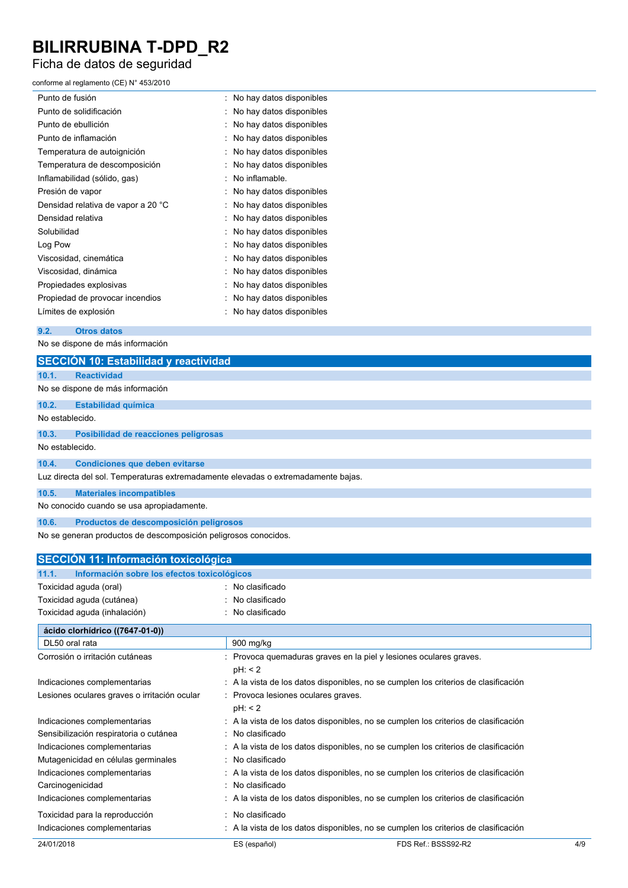# Ficha de datos de seguridad

## conforme al reglamento (CE) N° 453/2010

| Punto de fusión                    | : No hay datos disponibles |
|------------------------------------|----------------------------|
| Punto de solidificación            | No hay datos disponibles   |
| Punto de ebullición                | No hay datos disponibles   |
| Punto de inflamación               | No hay datos disponibles   |
| Temperatura de autoignición        | No hay datos disponibles   |
| Temperatura de descomposición      | No hay datos disponibles   |
| Inflamabilidad (sólido, gas)       | No inflamable.             |
| Presión de vapor                   | : No hay datos disponibles |
| Densidad relativa de vapor a 20 °C | No hay datos disponibles   |
| Densidad relativa                  | No hay datos disponibles   |
| Solubilidad                        | No hay datos disponibles   |
| Log Pow                            | No hay datos disponibles   |
| Viscosidad, cinemática             | No hay datos disponibles   |
| Viscosidad, dinámica               | No hay datos disponibles   |
| Propiedades explosivas             | No hay datos disponibles   |
| Propiedad de provocar incendios    | No hay datos disponibles   |
| Límites de explosión               | No hay datos disponibles   |

### **9.2. Otros datos**

No se dispone de más información

|                 | SECCIÓN 10: Estabilidad y reactividad                                             |
|-----------------|-----------------------------------------------------------------------------------|
| 10.1.           | <b>Reactividad</b>                                                                |
|                 | No se dispone de más información                                                  |
| 10.2.           | <b>Estabilidad química</b>                                                        |
| No establecido. |                                                                                   |
| 10.3.           | Posibilidad de reacciones peligrosas                                              |
| No establecido. |                                                                                   |
| 10.4.           | <b>Condiciones que deben evitarse</b>                                             |
|                 | Luz directa del sol. Temperaturas extremadamente elevadas o extremadamente bajas. |
| 10.5.           | <b>Materiales incompatibles</b>                                                   |
|                 | No conocido cuando se usa apropiadamente.                                         |
| 10.6.           | Productos de descomposición peligrosos                                            |

No se generan productos de descomposición peligrosos conocidos.

| <b>SECCIÓN 11: Información toxicológica</b>          |                                                                                     |     |
|------------------------------------------------------|-------------------------------------------------------------------------------------|-----|
| Información sobre los efectos toxicológicos<br>11.1. |                                                                                     |     |
| Toxicidad aguda (oral)                               | : No clasificado                                                                    |     |
| Toxicidad aguda (cutánea)                            | No clasificado                                                                      |     |
| Toxicidad aguda (inhalación)                         | No clasificado                                                                      |     |
| ácido clorhídrico ((7647-01-0))                      |                                                                                     |     |
| DL50 oral rata                                       | 900 mg/kg                                                                           |     |
| Corrosión o irritación cutáneas                      | Provoca quemaduras graves en la piel y lesiones oculares graves.<br>pH: 2           |     |
| Indicaciones complementarias                         | : A la vista de los datos disponibles, no se cumplen los criterios de clasificación |     |
| Lesiones oculares graves o irritación ocular         | Provoca lesiones oculares graves.<br>pH: 2                                          |     |
| Indicaciones complementarias                         | A la vista de los datos disponibles, no se cumplen los criterios de clasificación   |     |
| Sensibilización respiratoria o cutánea               | : No clasificado                                                                    |     |
| Indicaciones complementarias                         | : A la vista de los datos disponibles, no se cumplen los criterios de clasificación |     |
| Mutagenicidad en células germinales                  | No clasificado                                                                      |     |
| Indicaciones complementarias                         | A la vista de los datos disponibles, no se cumplen los criterios de clasificación   |     |
| Carcinogenicidad                                     | No clasificado                                                                      |     |
| Indicaciones complementarias                         | : A la vista de los datos disponibles, no se cumplen los criterios de clasificación |     |
| Toxicidad para la reproducción                       | No clasificado                                                                      |     |
| Indicaciones complementarias                         | : A la vista de los datos disponibles, no se cumplen los criterios de clasificación |     |
| 24/01/2018                                           | FDS Ref.: BSSS92-R2<br>ES (español)                                                 | 4/9 |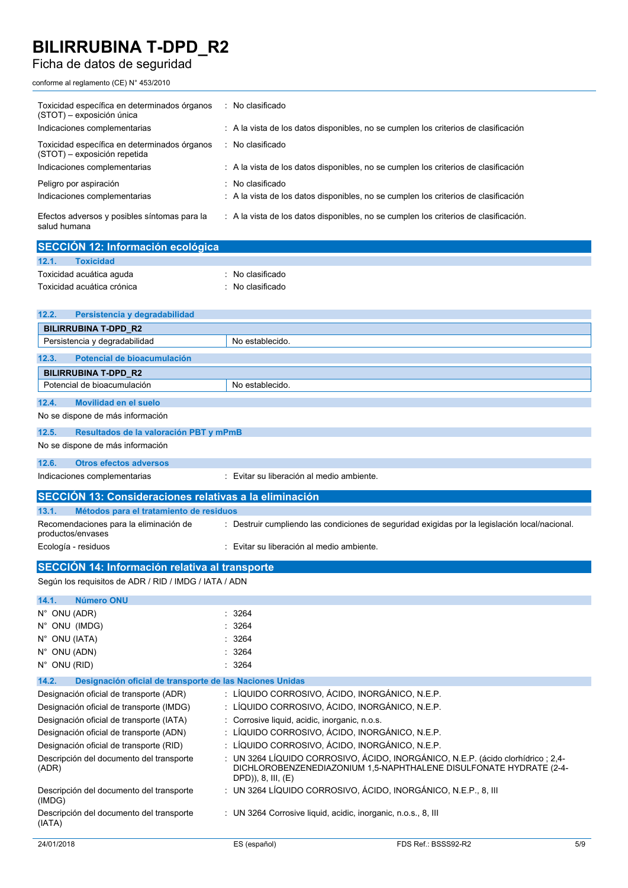## Ficha de datos de seguridad

conforme al reglamento (CE) N° 453/2010

| Toxicidad específica en determinados órganos<br>(STOT) - exposición única    | : No clasificado                                                                     |
|------------------------------------------------------------------------------|--------------------------------------------------------------------------------------|
| Indicaciones complementarias                                                 | : A la vista de los datos disponibles, no se cumplen los criterios de clasificación  |
| Toxicidad específica en determinados órganos<br>(STOT) - exposición repetida | : No clasificado                                                                     |
| Indicaciones complementarias                                                 | : A la vista de los datos disponibles, no se cumplen los criterios de clasificación  |
| Peligro por aspiración                                                       | No clasificado                                                                       |
| Indicaciones complementarias                                                 | : A la vista de los datos disponibles, no se cumplen los criterios de clasificación  |
| Efectos adversos y posibles síntomas para la<br>salud humana                 | : A la vista de los datos disponibles, no se cumplen los criterios de clasificación. |
| SECCIÓN 12: Información ecológica                                            |                                                                                      |
| <b>Toxicidad</b><br>12.1.                                                    |                                                                                      |
| Toxicidad acuática aquda                                                     | No clasificado                                                                       |
| Toxicidad acuática crónica                                                   | No clasificado                                                                       |
|                                                                              |                                                                                      |
| 12.2.<br>Persistencia y degradabilidad                                       |                                                                                      |
| <b>BILIRRUBINA T-DPD R2</b>                                                  |                                                                                      |
| Persistencia y degradabilidad                                                | No establecido.                                                                      |
| Potencial de bioacumulación<br>12.3.                                         |                                                                                      |
| <b>BILIRRUBINA T-DPD R2</b>                                                  |                                                                                      |
| Potencial de bioacumulación                                                  | No establecido.                                                                      |
| Movilidad en el suelo<br>12.4.                                               |                                                                                      |
| No se dispone de más información                                             |                                                                                      |
| 12.5.<br>Resultados de la valoración PBT y mPmB                              |                                                                                      |
| No se dispone de más información                                             |                                                                                      |
|                                                                              |                                                                                      |

## **12.6. Otros efectos adversos**

| Indicaciones complementarias                                | : Evitar su liberación al medio ambiente.                                                      |
|-------------------------------------------------------------|------------------------------------------------------------------------------------------------|
| SECCIÓN 13: Consideraciones relativas a la eliminación      |                                                                                                |
| 13.1.<br>Métodos para el tratamiento de residuos            |                                                                                                |
| Recomendaciones para la eliminación de<br>productos/envases | : Destruir cumpliendo las condiciones de seguridad exigidas por la legislación local/nacional. |
| Ecología - residuos                                         | : Evitar su liberación al medio ambiente.                                                      |

## **SECCIÓN 14: Información relativa al transporte**

Según los requisitos de ADR / RID / IMDG / IATA / ADN

| Número ONU<br>14.1.                                               |                                               |                                                                                                                                                        |     |
|-------------------------------------------------------------------|-----------------------------------------------|--------------------------------------------------------------------------------------------------------------------------------------------------------|-----|
| $N^{\circ}$ ONU (ADR)                                             | : 3264                                        |                                                                                                                                                        |     |
| N° ONU (IMDG)                                                     | : 3264                                        |                                                                                                                                                        |     |
| $N^{\circ}$ ONU (IATA)                                            | : 3264                                        |                                                                                                                                                        |     |
| $N^{\circ}$ ONU (ADN)                                             | : 3264                                        |                                                                                                                                                        |     |
| N° ONU (RID)                                                      | : 3264                                        |                                                                                                                                                        |     |
| 14.2.<br>Designación oficial de transporte de las Naciones Unidas |                                               |                                                                                                                                                        |     |
| Designación oficial de transporte (ADR)                           |                                               | : LÍQUIDO CORROSIVO, ÁCIDO, INORGÁNICO, N.E.P.                                                                                                         |     |
| Designación oficial de transporte (IMDG)                          |                                               | : LÍQUIDO CORROSIVO, ÁCIDO, INORGÁNICO, N.E.P.                                                                                                         |     |
| Designación oficial de transporte (IATA)                          | : Corrosive liquid, acidic, inorganic, n.o.s. |                                                                                                                                                        |     |
| Designación oficial de transporte (ADN)                           |                                               | : LÍQUIDO CORROSIVO, ÁCIDO, INORGÁNICO, N.E.P.                                                                                                         |     |
| Designación oficial de transporte (RID)                           |                                               | : LÍQUIDO CORROSIVO, ÁCIDO, INORGÁNICO, N.E.P.                                                                                                         |     |
| Descripción del documento del transporte<br>(ADR)                 | DPD)), 8, III, (E)                            | : UN 3264 LÍQUIDO CORROSIVO, ÁCIDO, INORGÁNICO, N.E.P. (ácido clorhídrico : 2,4-<br>DICHLOROBENZENEDIAZONIUM 1,5-NAPHTHALENE DISULFONATE HYDRATE (2-4- |     |
| Descripción del documento del transporte<br>(IMDG)                |                                               | : UN 3264 LÍQUIDO CORROSIVO, ÁCIDO, INORGÁNICO, N.E.P., 8, III                                                                                         |     |
| Descripción del documento del transporte<br>(IATA)                |                                               | : UN 3264 Corrosive liquid, acidic, inorganic, n.o.s., 8, III                                                                                          |     |
| 24/01/2018                                                        | ES (español)                                  | FDS Ref.: BSSS92-R2                                                                                                                                    | 5/9 |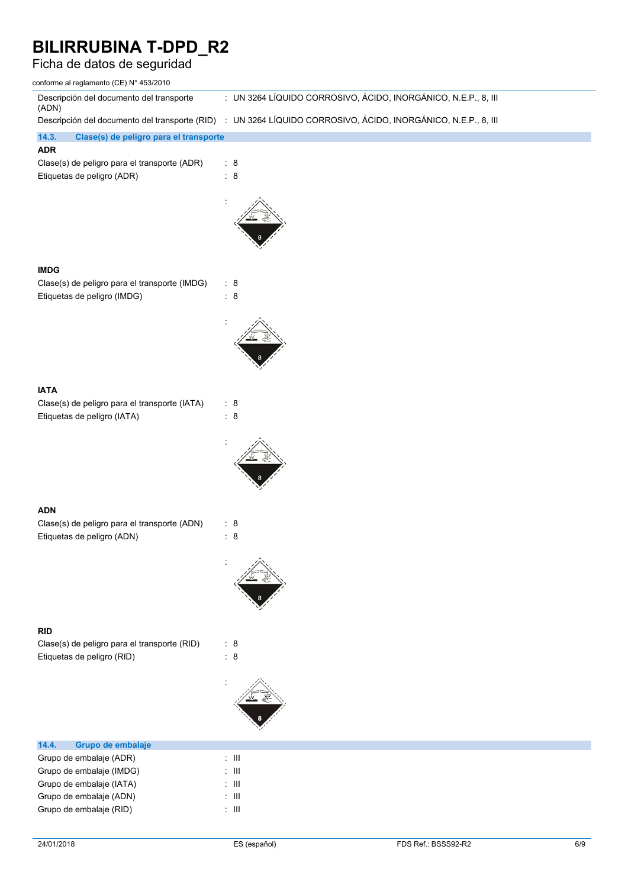## Ficha de datos de seguridad

| conforme al reglamento (CE) N° 453/2010                                                                                                     |                                                                |                     |     |
|---------------------------------------------------------------------------------------------------------------------------------------------|----------------------------------------------------------------|---------------------|-----|
| Descripción del documento del transporte<br>(ADN)                                                                                           | : UN 3264 LÍQUIDO CORROSIVO, ÁCIDO, INORGÁNICO, N.E.P., 8, III |                     |     |
| Descripción del documento del transporte (RID) : UN 3264 LÍQUIDO CORROSIVO, ÁCIDO, INORGÁNICO, N.E.P., 8, III                               |                                                                |                     |     |
| 14.3.<br>Clase(s) de peligro para el transporte<br><b>ADR</b><br>Clase(s) de peligro para el transporte (ADR)<br>Etiquetas de peligro (ADR) | : 8<br>$\therefore$ 8                                          |                     |     |
| <b>IMDG</b><br>Clase(s) de peligro para el transporte (IMDG)<br>Etiquetas de peligro (IMDG)                                                 | $\therefore$ 8<br>$\therefore$ 8                               |                     |     |
| <b>IATA</b><br>Clase(s) de peligro para el transporte (IATA)<br>Etiquetas de peligro (IATA)                                                 | : 8<br>: 8                                                     |                     |     |
| <b>ADN</b><br>Clase(s) de peligro para el transporte (ADN)<br>Etiquetas de peligro (ADN)                                                    | $\therefore$ 8<br>$\therefore$ 8                               |                     |     |
| <b>RID</b><br>Clase(s) de peligro para el transporte (RID)<br>Etiquetas de peligro (RID)                                                    | : 8<br>: 8                                                     |                     |     |
| 14.4.<br>Grupo de embalaje                                                                                                                  |                                                                |                     |     |
| Grupo de embalaje (ADR)                                                                                                                     | $\div$ III                                                     |                     |     |
| Grupo de embalaje (IMDG)                                                                                                                    | $\div$ III                                                     |                     |     |
| Grupo de embalaje (IATA)                                                                                                                    | $\pm$ 111                                                      |                     |     |
| Grupo de embalaje (ADN)                                                                                                                     | $\div$ III                                                     |                     |     |
| Grupo de embalaje (RID)                                                                                                                     | $\div$ III                                                     |                     |     |
| 24/01/2018                                                                                                                                  | ES (español)                                                   | FDS Ref.: BSSS92-R2 | 6/9 |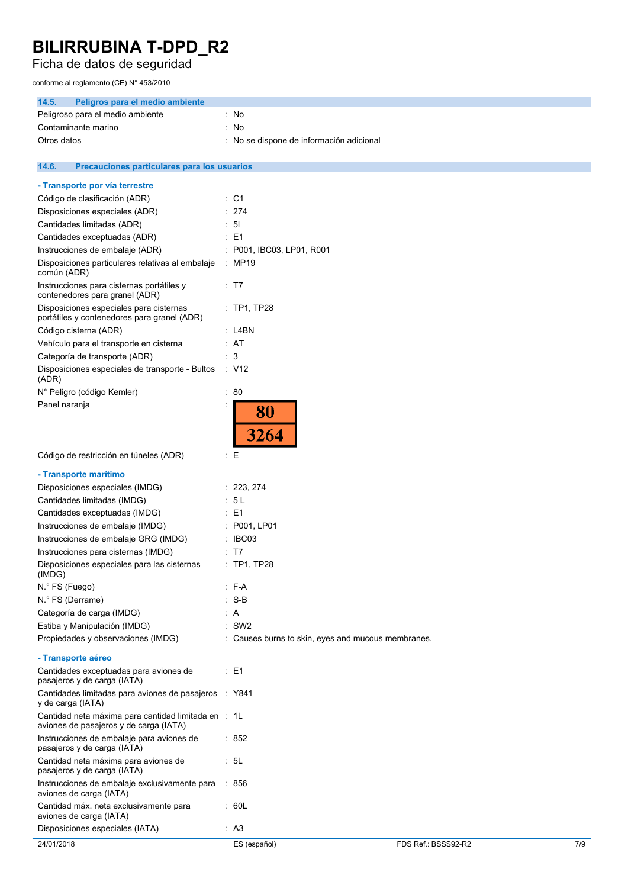Ficha de datos de seguridad

conforme al reglamento (CE) N° 453/2010

| 14.5.<br>Peligros para el medio ambiente                                                      |                             |                                                    |     |
|-----------------------------------------------------------------------------------------------|-----------------------------|----------------------------------------------------|-----|
| Peligroso para el medio ambiente                                                              | : No                        |                                                    |     |
| Contaminante marino                                                                           | No<br>t.                    |                                                    |     |
| Otros datos                                                                                   | t.                          | No se dispone de información adicional             |     |
|                                                                                               |                             |                                                    |     |
| 14.6.<br>Precauciones particulares para los usuarios                                          |                             |                                                    |     |
| - Transporte por vía terrestre                                                                |                             |                                                    |     |
| Código de clasificación (ADR)                                                                 | $\therefore$ C1             |                                                    |     |
| Disposiciones especiales (ADR)                                                                | $\therefore$ 274            |                                                    |     |
| Cantidades limitadas (ADR)                                                                    | : 51                        |                                                    |     |
| Cantidades exceptuadas (ADR)                                                                  | $\therefore$ E1             |                                                    |     |
| Instrucciones de embalaje (ADR)                                                               | $:$ P001, IBC03, LP01, R001 |                                                    |     |
| Disposiciones particulares relativas al embalaje<br>común (ADR)                               | : MP19                      |                                                    |     |
| Instrucciones para cisternas portátiles y<br>contenedores para granel (ADR)                   | : T7                        |                                                    |     |
| Disposiciones especiales para cisternas<br>portátiles y contenedores para granel (ADR)        | $:$ TP1, TP28               |                                                    |     |
| Código cisterna (ADR)                                                                         | : L4BN                      |                                                    |     |
| Vehículo para el transporte en cisterna                                                       | : AT                        |                                                    |     |
| Categoría de transporte (ADR)                                                                 | : 3                         |                                                    |     |
| Disposiciones especiales de transporte - Bultos<br>(ADR)                                      | ∴ V12                       |                                                    |     |
| N° Peligro (código Kemler)                                                                    | : 80                        |                                                    |     |
| Panel naranja                                                                                 |                             |                                                    |     |
|                                                                                               | 80<br>3264                  |                                                    |     |
| Código de restricción en túneles (ADR)                                                        | ÷Ε                          |                                                    |     |
| - Transporte marítimo                                                                         |                             |                                                    |     |
| Disposiciones especiales (IMDG)                                                               | : 223, 274                  |                                                    |     |
| Cantidades limitadas (IMDG)                                                                   | : 5L                        |                                                    |     |
| Cantidades exceptuadas (IMDG)                                                                 | E <sub>1</sub><br>÷         |                                                    |     |
| Instrucciones de embalaje (IMDG)                                                              | ÷<br>P001, LP01             |                                                    |     |
| Instrucciones de embalaje GRG (IMDG)                                                          | IBC03                       |                                                    |     |
| Instrucciones para cisternas (IMDG)                                                           | : T7                        |                                                    |     |
| Disposiciones especiales para las cisternas<br>(IMDG)                                         | $:$ TP1, TP28               |                                                    |     |
| N.º FS (Fuego)                                                                                | $:$ F-A                     |                                                    |     |
| N.º FS (Derrame)                                                                              | $: S-B$                     |                                                    |     |
| Categoría de carga (IMDG)                                                                     | : A                         |                                                    |     |
| Estiba y Manipulación (IMDG)                                                                  | $\therefore$ SW2            |                                                    |     |
| Propiedades y observaciones (IMDG)                                                            |                             | : Causes burns to skin, eyes and mucous membranes. |     |
| - Transporte aéreo                                                                            |                             |                                                    |     |
| Cantidades exceptuadas para aviones de<br>pasajeros y de carga (IATA)                         | $\therefore$ E1             |                                                    |     |
| Cantidades limitadas para aviones de pasajeros : Y841<br>y de carga (IATA)                    |                             |                                                    |     |
| Cantidad neta máxima para cantidad limitada en : 1L<br>aviones de pasajeros y de carga (IATA) |                             |                                                    |     |
| Instrucciones de embalaje para aviones de<br>pasajeros y de carga (IATA)                      | : 852                       |                                                    |     |
| Cantidad neta máxima para aviones de<br>pasajeros y de carga (IATA)                           | : 5L                        |                                                    |     |
| Instrucciones de embalaje exclusivamente para<br>aviones de carga (IATA)                      | : 856                       |                                                    |     |
| Cantidad máx. neta exclusivamente para<br>aviones de carga (IATA)                             | : 60L                       |                                                    |     |
| Disposiciones especiales (IATA)                                                               | : A3                        |                                                    |     |
| 24/01/2018                                                                                    | ES (español)                | FDS Ref.: BSSS92-R2                                | 7/9 |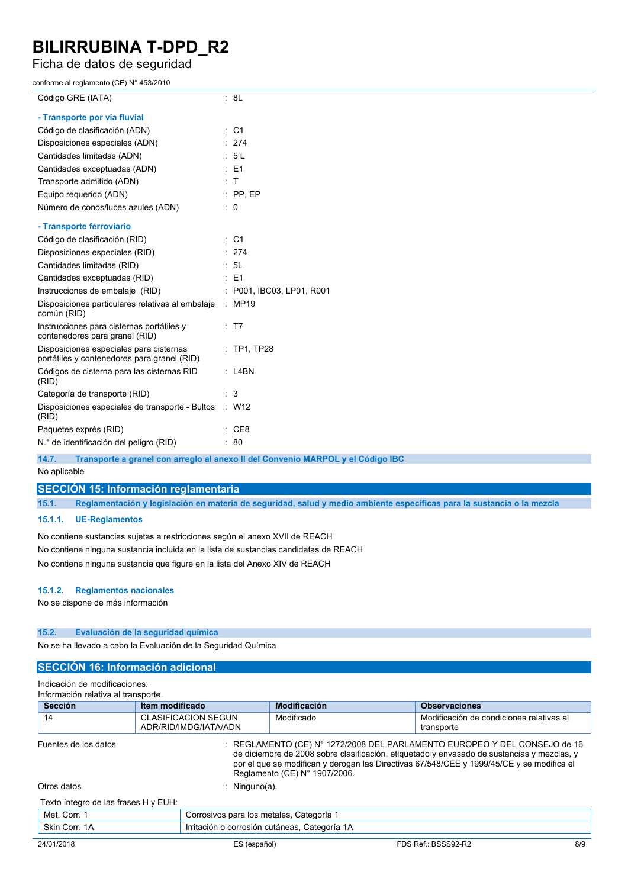Ficha de datos de seguridad

conforme al reglamento (CE) N° 453/2010

| Código GRE (IATA)                                                                      | : 8L                                                                 |
|----------------------------------------------------------------------------------------|----------------------------------------------------------------------|
| - Transporte por vía fluvial                                                           |                                                                      |
| Código de clasificación (ADN)                                                          | $:$ C1                                                               |
| Disposiciones especiales (ADN)                                                         | : 274                                                                |
| Cantidades limitadas (ADN)                                                             | : 5L                                                                 |
| Cantidades exceptuadas (ADN)                                                           | $\therefore$ E1                                                      |
| Transporte admitido (ADN)                                                              | : T                                                                  |
| Equipo requerido (ADN)                                                                 | $:$ PP, EP                                                           |
| Número de conos/luces azules (ADN)                                                     | $\therefore$ 0                                                       |
| - Transporte ferroviario                                                               |                                                                      |
| Código de clasificación (RID)                                                          | $:$ C1                                                               |
| Disposiciones especiales (RID)                                                         | : 274                                                                |
| Cantidades limitadas (RID)                                                             | : 5L                                                                 |
| Cantidades exceptuadas (RID)                                                           | $\therefore$ E1                                                      |
| Instrucciones de embalaje (RID)                                                        | : P001, IBC03, LP01, R001                                            |
| Disposiciones particulares relativas al embalaje<br>común (RID)                        | $\therefore$ MP19                                                    |
| Instrucciones para cisternas portátiles y<br>contenedores para granel (RID)            | : T7                                                                 |
| Disposiciones especiales para cisternas<br>portátiles y contenedores para granel (RID) | $:$ TP1, TP28                                                        |
| Códigos de cisterna para las cisternas RID<br>(RID)                                    | $:$ L4BN                                                             |
| Categoría de transporte (RID)                                                          | : 3                                                                  |
| Disposiciones especiales de transporte - Bultos<br>(RID)                               | : W12                                                                |
| Paquetes exprés (RID)                                                                  | : CE8                                                                |
| N.º de identificación del peligro (RID)                                                | : 80                                                                 |
| $AA =$                                                                                 | Transporte a grand can experience in an Camis MADDOL u.al Cádina IDC |

**14.7. Transporte a granel con arreglo al anexo II del Convenio MARPOL y el Código IBC**

No aplicable

**SECCIÓN 15: Información reglamentaria**

15.1. Reglamentación y legislación en materia de seguridad, salud y medio ambiente específicas para la sustancia o la mezcla

#### **15.1.1. UE-Reglamentos**

No contiene sustancias sujetas a restricciones según el anexo XVII de REACH No contiene ninguna sustancia incluida en la lista de sustancias candidatas de REACH No contiene ninguna sustancia que figure en la lista del Anexo XIV de REACH

#### **15.1.2. Reglamentos nacionales**

No se dispone de más información

### **15.2. Evaluación de la seguridad química**

No se ha llevado a cabo la Evaluación de la Seguridad Química

### **SECCIÓN 16: Información adicional**

Indicación de modificaciones: Información relativa al transporte.

| <b>Sección</b>                       | Item modificado                                     | <b>Modificación</b>                           | <b>Observaciones</b>                                                                                                                                                                                                                                                            |     |
|--------------------------------------|-----------------------------------------------------|-----------------------------------------------|---------------------------------------------------------------------------------------------------------------------------------------------------------------------------------------------------------------------------------------------------------------------------------|-----|
| 14                                   | <b>CLASIFICACION SEGUN</b><br>ADR/RID/IMDG/IATA/ADN | Modificado                                    | Modificación de condiciones relativas al<br>transporte                                                                                                                                                                                                                          |     |
| Fuentes de los datos                 |                                                     | Reglamento (CE) N° 1907/2006.                 | $\therefore$ REGLAMENTO (CE) N° 1272/2008 DEL PARLAMENTO EUROPEO Y DEL CONSEJO de 16<br>de diciembre de 2008 sobre clasificación, etiquetado y envasado de sustancias y mezclas, y<br>por el que se modifican y derogan las Directivas 67/548/CEE y 1999/45/CE y se modifica el |     |
| Otros datos                          | : Ninguno(a).                                       |                                               |                                                                                                                                                                                                                                                                                 |     |
| Texto íntegro de las frases H y EUH: |                                                     |                                               |                                                                                                                                                                                                                                                                                 |     |
| Met. Corr. 1                         |                                                     | Corrosivos para los metales, Categoría 1      |                                                                                                                                                                                                                                                                                 |     |
| Skin Corr. 1A                        |                                                     | Irritación o corrosión cutáneas, Categoría 1A |                                                                                                                                                                                                                                                                                 |     |
| 24/01/2018                           | ES (español)                                        |                                               | FDS Ref.: BSSS92-R2                                                                                                                                                                                                                                                             | 8/9 |